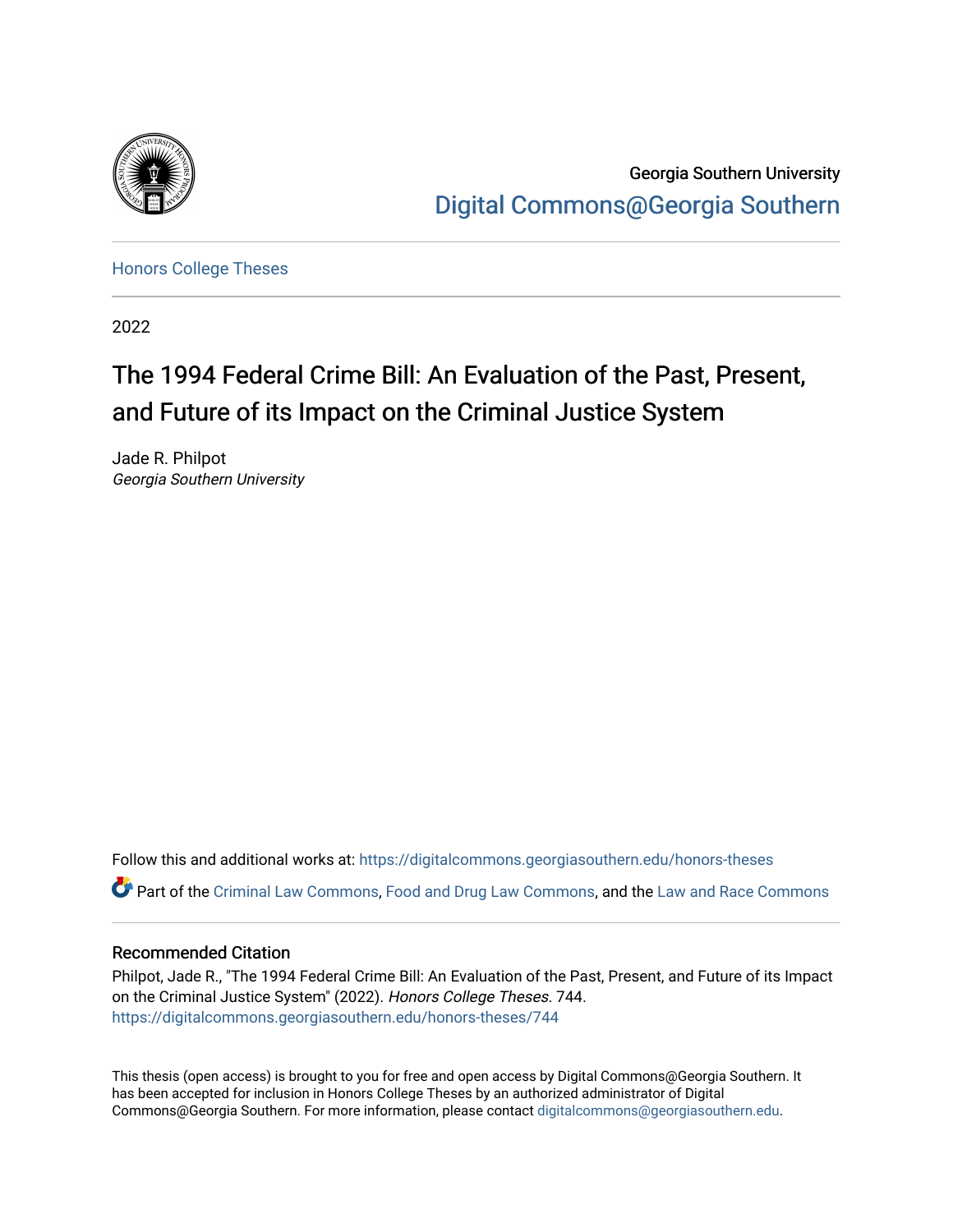

Georgia Southern University [Digital Commons@Georgia Southern](https://digitalcommons.georgiasouthern.edu/) 

[Honors College Theses](https://digitalcommons.georgiasouthern.edu/honors-theses) 

2022

# The 1994 Federal Crime Bill: An Evaluation of the Past, Present, and Future of its Impact on the Criminal Justice System

Jade R. Philpot Georgia Southern University

Follow this and additional works at: [https://digitalcommons.georgiasouthern.edu/honors-theses](https://digitalcommons.georgiasouthern.edu/honors-theses?utm_source=digitalcommons.georgiasouthern.edu%2Fhonors-theses%2F744&utm_medium=PDF&utm_campaign=PDFCoverPages)

Part of the [Criminal Law Commons,](http://network.bepress.com/hgg/discipline/912?utm_source=digitalcommons.georgiasouthern.edu%2Fhonors-theses%2F744&utm_medium=PDF&utm_campaign=PDFCoverPages) [Food and Drug Law Commons](http://network.bepress.com/hgg/discipline/844?utm_source=digitalcommons.georgiasouthern.edu%2Fhonors-theses%2F744&utm_medium=PDF&utm_campaign=PDFCoverPages), and the [Law and Race Commons](http://network.bepress.com/hgg/discipline/1300?utm_source=digitalcommons.georgiasouthern.edu%2Fhonors-theses%2F744&utm_medium=PDF&utm_campaign=PDFCoverPages)

# Recommended Citation

Philpot, Jade R., "The 1994 Federal Crime Bill: An Evaluation of the Past, Present, and Future of its Impact on the Criminal Justice System" (2022). Honors College Theses. 744. [https://digitalcommons.georgiasouthern.edu/honors-theses/744](https://digitalcommons.georgiasouthern.edu/honors-theses/744?utm_source=digitalcommons.georgiasouthern.edu%2Fhonors-theses%2F744&utm_medium=PDF&utm_campaign=PDFCoverPages)

This thesis (open access) is brought to you for free and open access by Digital Commons@Georgia Southern. It has been accepted for inclusion in Honors College Theses by an authorized administrator of Digital Commons@Georgia Southern. For more information, please contact [digitalcommons@georgiasouthern.edu](mailto:digitalcommons@georgiasouthern.edu).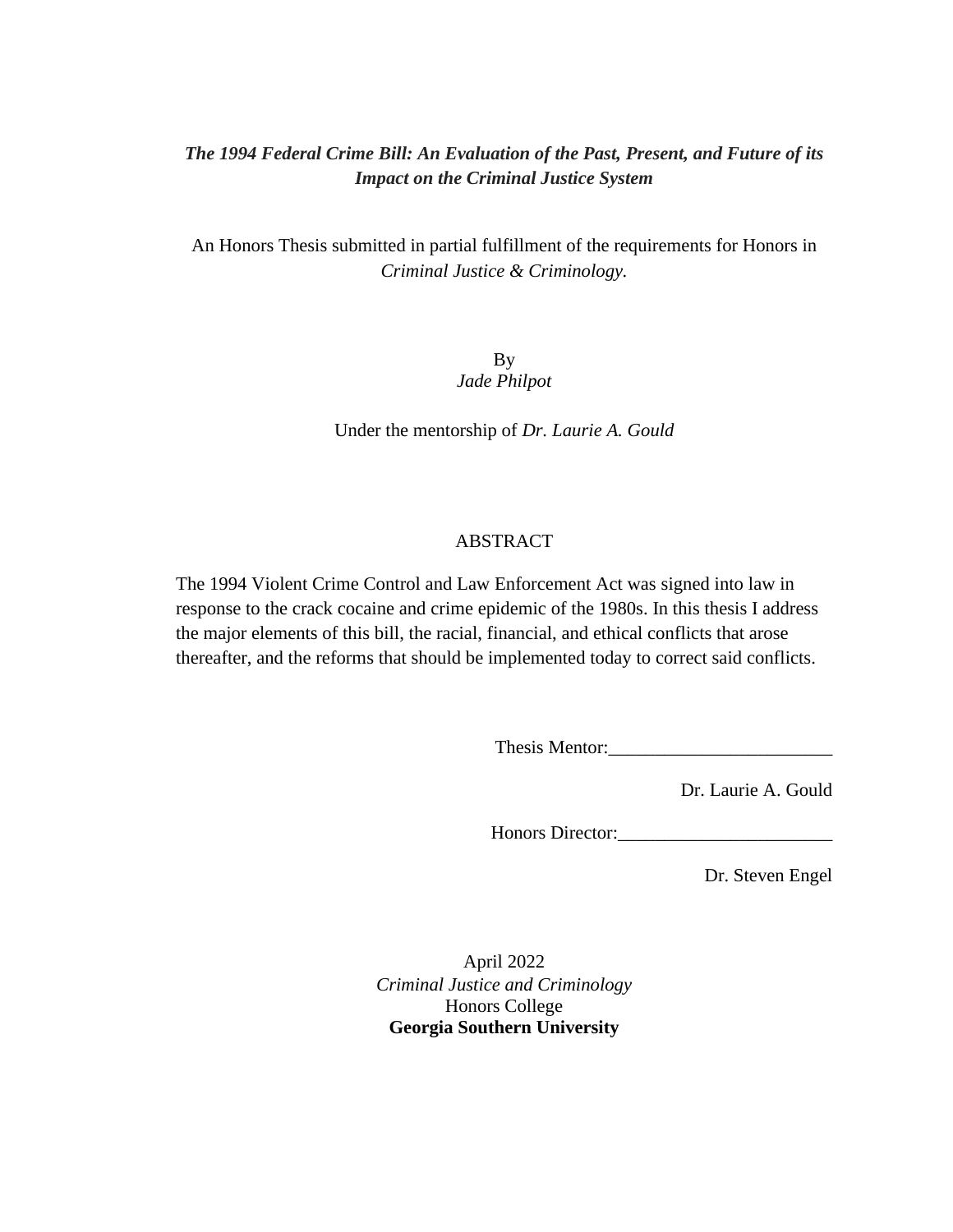# *The 1994 Federal Crime Bill: An Evaluation of the Past, Present, and Future of its Impact on the Criminal Justice System*

An Honors Thesis submitted in partial fulfillment of the requirements for Honors in *Criminal Justice & Criminology.*

> By *Jade Philpot*

Under the mentorship of *Dr. Laurie A. Gould*

# ABSTRACT

The 1994 Violent Crime Control and Law Enforcement Act was signed into law in response to the crack cocaine and crime epidemic of the 1980s. In this thesis I address the major elements of this bill, the racial, financial, and ethical conflicts that arose thereafter, and the reforms that should be implemented today to correct said conflicts.

Thesis Mentor:\_\_\_\_\_\_\_\_\_\_\_\_\_\_\_\_\_\_\_\_\_\_\_\_

Dr. Laurie A. Gould

Honors Director:

Dr. Steven Engel

April 2022 *Criminal Justice and Criminology* Honors College **Georgia Southern University**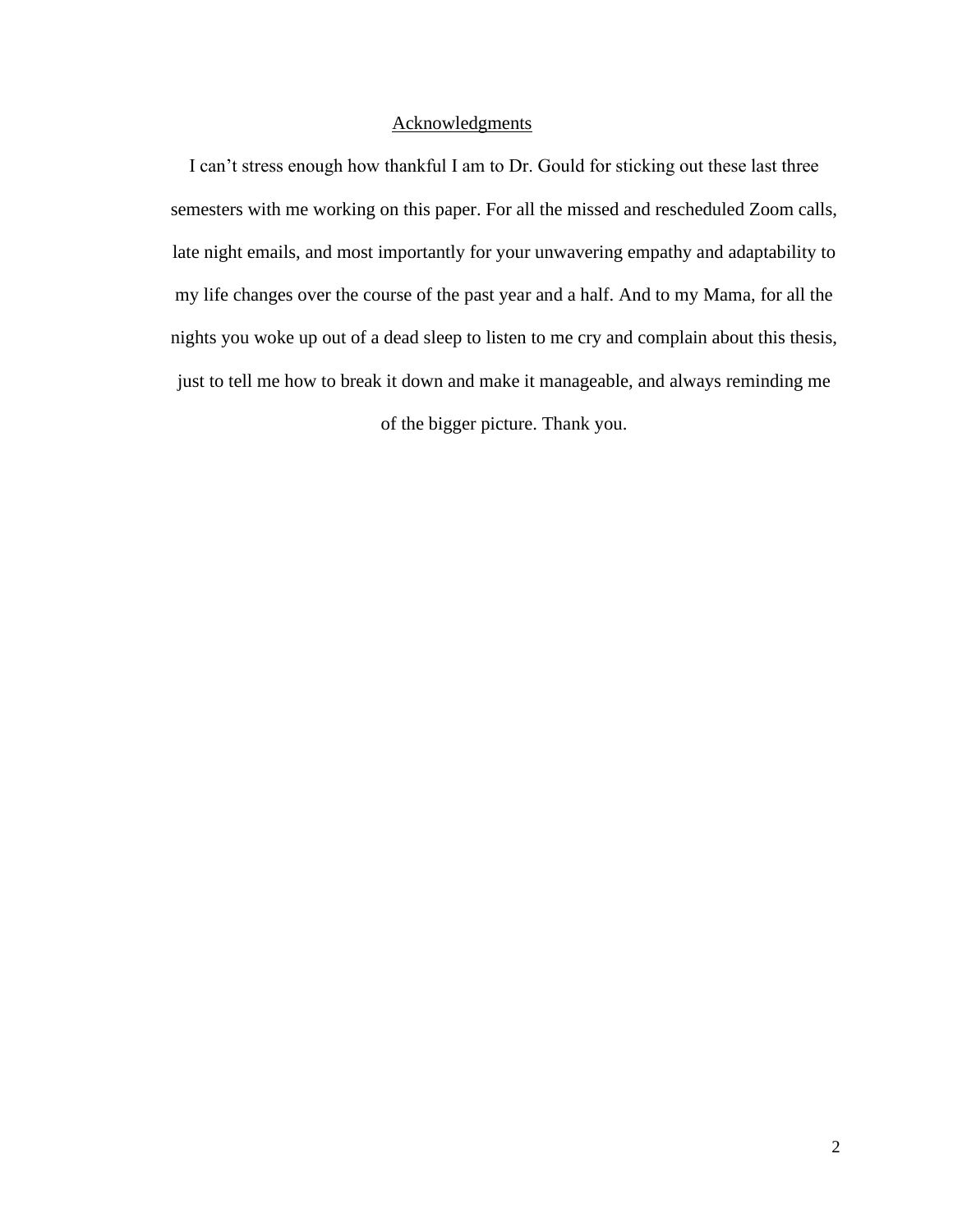# **Acknowledgments**

I can't stress enough how thankful I am to Dr. Gould for sticking out these last three semesters with me working on this paper. For all the missed and rescheduled Zoom calls, late night emails, and most importantly for your unwavering empathy and adaptability to my life changes over the course of the past year and a half. And to my Mama, for all the nights you woke up out of a dead sleep to listen to me cry and complain about this thesis, just to tell me how to break it down and make it manageable, and always reminding me of the bigger picture. Thank you.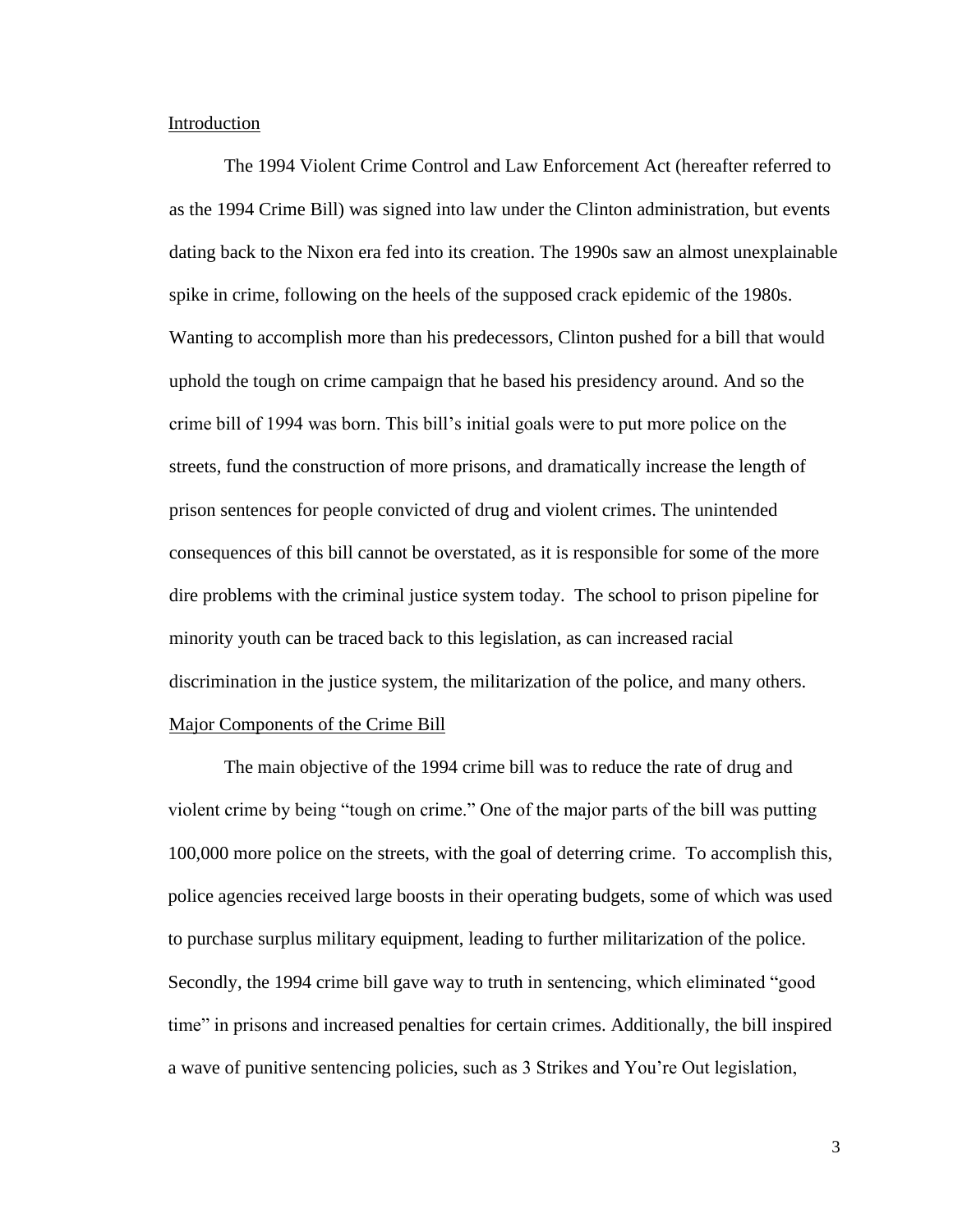# Introduction

The 1994 Violent Crime Control and Law Enforcement Act (hereafter referred to as the 1994 Crime Bill) was signed into law under the Clinton administration, but events dating back to the Nixon era fed into its creation. The 1990s saw an almost unexplainable spike in crime, following on the heels of the supposed crack epidemic of the 1980s. Wanting to accomplish more than his predecessors, Clinton pushed for a bill that would uphold the tough on crime campaign that he based his presidency around. And so the crime bill of 1994 was born. This bill's initial goals were to put more police on the streets, fund the construction of more prisons, and dramatically increase the length of prison sentences for people convicted of drug and violent crimes. The unintended consequences of this bill cannot be overstated, as it is responsible for some of the more dire problems with the criminal justice system today. The school to prison pipeline for minority youth can be traced back to this legislation, as can increased racial discrimination in the justice system, the militarization of the police, and many others. Major Components of the Crime Bill

The main objective of the 1994 crime bill was to reduce the rate of drug and violent crime by being "tough on crime." One of the major parts of the bill was putting 100,000 more police on the streets, with the goal of deterring crime. To accomplish this, police agencies received large boosts in their operating budgets, some of which was used to purchase surplus military equipment, leading to further militarization of the police. Secondly, the 1994 crime bill gave way to truth in sentencing, which eliminated "good time" in prisons and increased penalties for certain crimes. Additionally, the bill inspired a wave of punitive sentencing policies, such as 3 Strikes and You're Out legislation,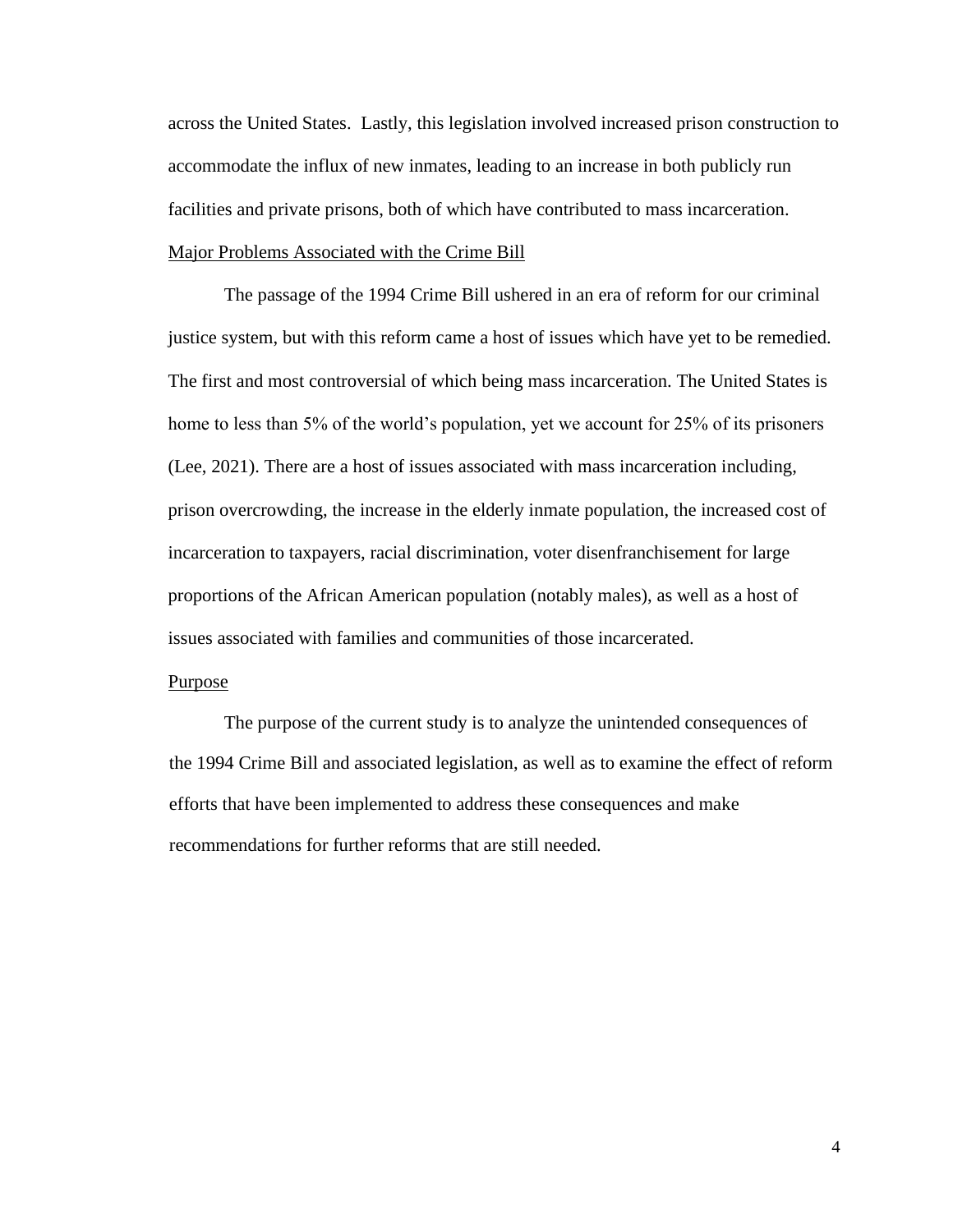across the United States. Lastly, this legislation involved increased prison construction to accommodate the influx of new inmates, leading to an increase in both publicly run facilities and private prisons, both of which have contributed to mass incarceration. Major Problems Associated with the Crime Bill

The passage of the 1994 Crime Bill ushered in an era of reform for our criminal justice system, but with this reform came a host of issues which have yet to be remedied. The first and most controversial of which being mass incarceration. The United States is home to less than 5% of the world's population, yet we account for 25% of its prisoners (Lee, 2021). There are a host of issues associated with mass incarceration including, prison overcrowding, the increase in the elderly inmate population, the increased cost of incarceration to taxpayers, racial discrimination, voter disenfranchisement for large proportions of the African American population (notably males), as well as a host of issues associated with families and communities of those incarcerated.

#### Purpose

The purpose of the current study is to analyze the unintended consequences of the 1994 Crime Bill and associated legislation, as well as to examine the effect of reform efforts that have been implemented to address these consequences and make recommendations for further reforms that are still needed.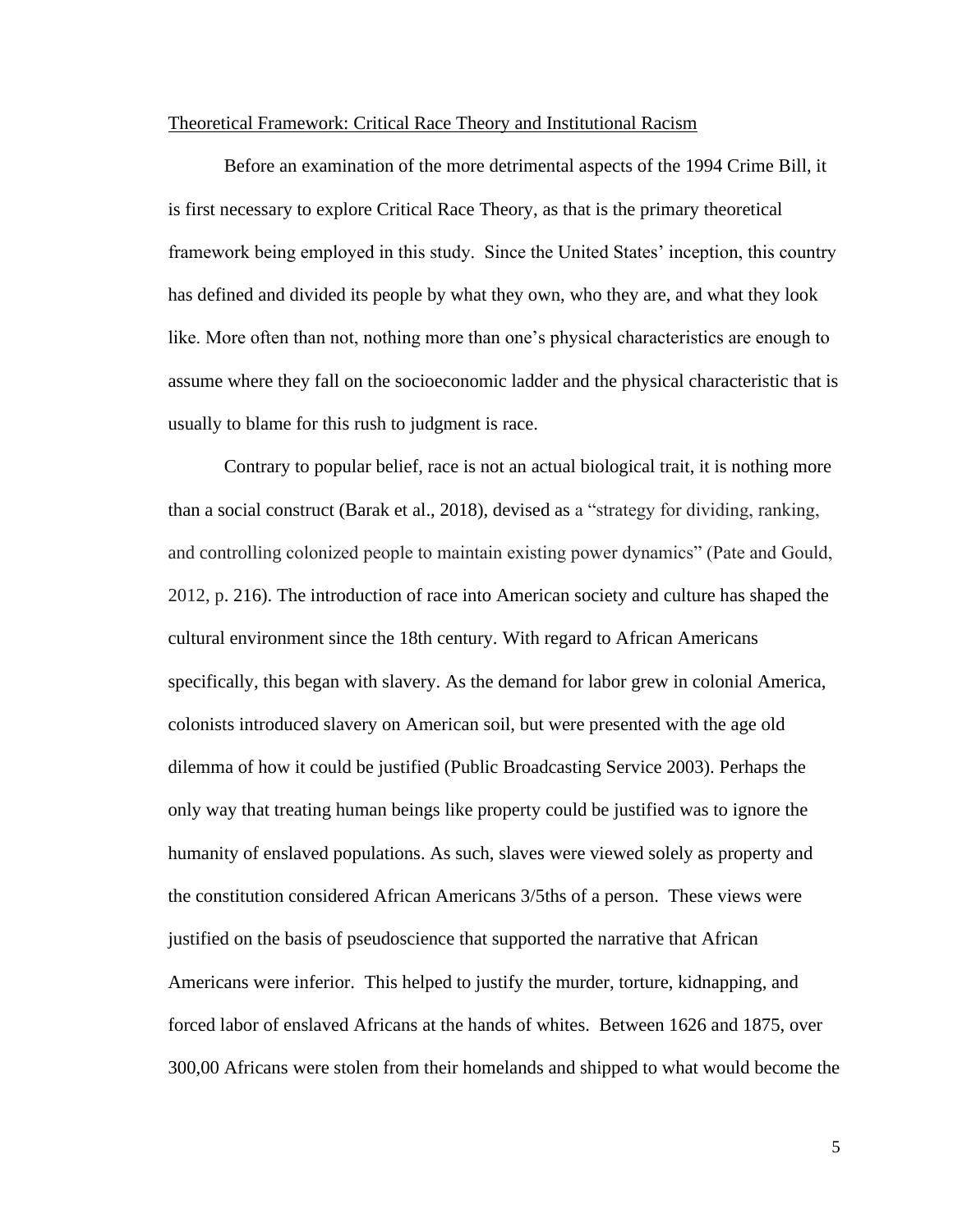#### Theoretical Framework: Critical Race Theory and Institutional Racism

Before an examination of the more detrimental aspects of the 1994 Crime Bill, it is first necessary to explore Critical Race Theory, as that is the primary theoretical framework being employed in this study. Since the United States' inception, this country has defined and divided its people by what they own, who they are, and what they look like. More often than not, nothing more than one's physical characteristics are enough to assume where they fall on the socioeconomic ladder and the physical characteristic that is usually to blame for this rush to judgment is race.

Contrary to popular belief, race is not an actual biological trait, it is nothing more than a social construct (Barak et al., 2018), devised as a "strategy for dividing, ranking, and controlling colonized people to maintain existing power dynamics" (Pate and Gould, 2012, p. 216). The introduction of race into American society and culture has shaped the cultural environment since the 18th century. With regard to African Americans specifically, this began with slavery. As the demand for labor grew in colonial America, colonists introduced slavery on American soil, but were presented with the age old dilemma of how it could be justified (Public Broadcasting Service 2003). Perhaps the only way that treating human beings like property could be justified was to ignore the humanity of enslaved populations. As such, slaves were viewed solely as property and the constitution considered African Americans 3/5ths of a person. These views were justified on the basis of pseudoscience that supported the narrative that African Americans were inferior. This helped to justify the murder, torture, kidnapping, and forced labor of enslaved Africans at the hands of whites. Between 1626 and 1875, over 300,00 Africans were stolen from their homelands and shipped to what would become the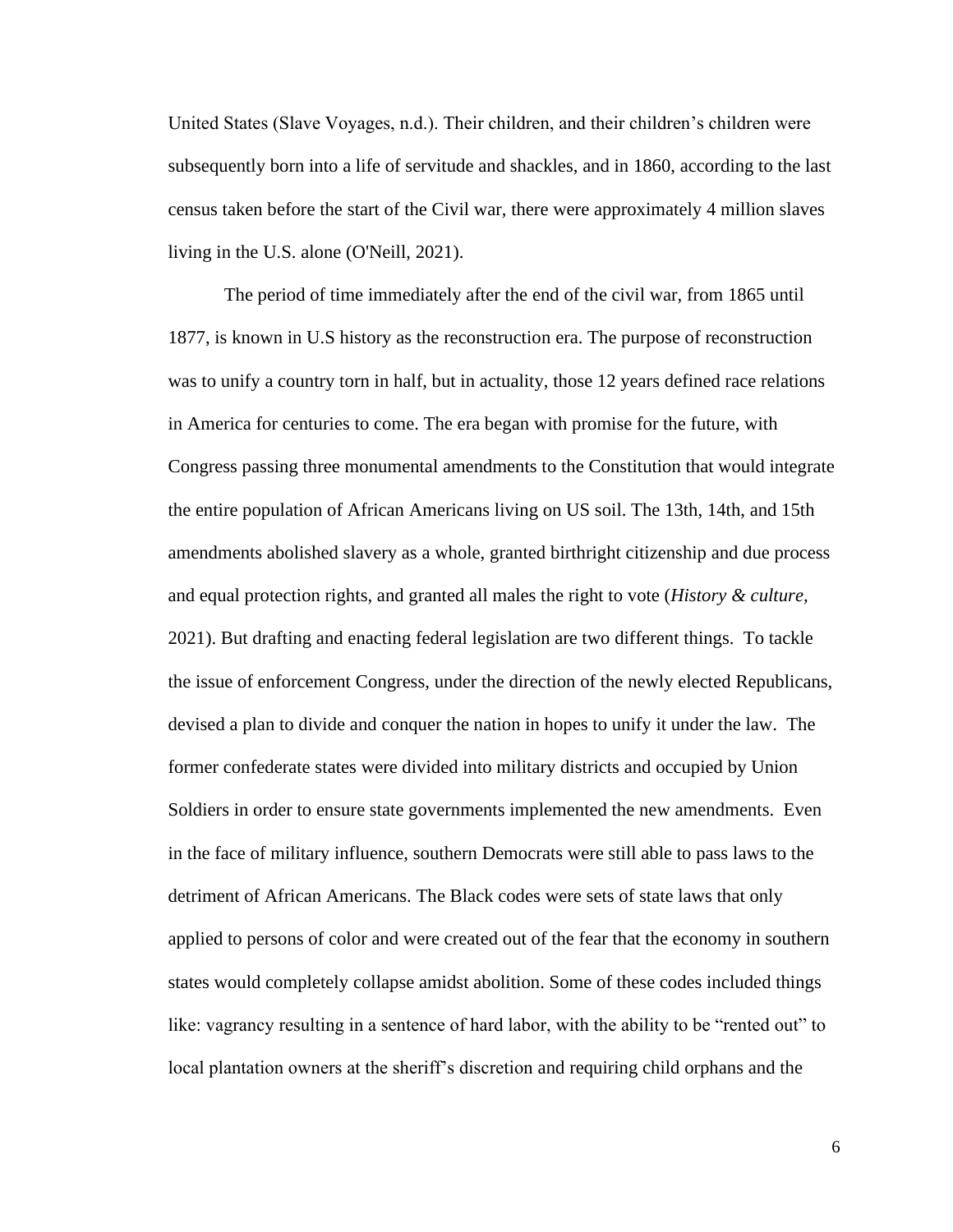United States (Slave Voyages, n.d.). Their children, and their children's children were subsequently born into a life of servitude and shackles, and in 1860, according to the last census taken before the start of the Civil war, there were approximately 4 million slaves living in the U.S. alone (O'Neill, 2021).

The period of time immediately after the end of the civil war, from 1865 until 1877, is known in U.S history as the reconstruction era. The purpose of reconstruction was to unify a country torn in half, but in actuality, those 12 years defined race relations in America for centuries to come. The era began with promise for the future, with Congress passing three monumental amendments to the Constitution that would integrate the entire population of African Americans living on US soil. The 13th, 14th, and 15th amendments abolished slavery as a whole, granted birthright citizenship and due process and equal protection rights, and granted all males the right to vote (*History & culture,* 2021). But drafting and enacting federal legislation are two different things. To tackle the issue of enforcement Congress, under the direction of the newly elected Republicans, devised a plan to divide and conquer the nation in hopes to unify it under the law. The former confederate states were divided into military districts and occupied by Union Soldiers in order to ensure state governments implemented the new amendments. Even in the face of military influence, southern Democrats were still able to pass laws to the detriment of African Americans. The Black codes were sets of state laws that only applied to persons of color and were created out of the fear that the economy in southern states would completely collapse amidst abolition. Some of these codes included things like: vagrancy resulting in a sentence of hard labor, with the ability to be "rented out" to local plantation owners at the sheriff's discretion and requiring child orphans and the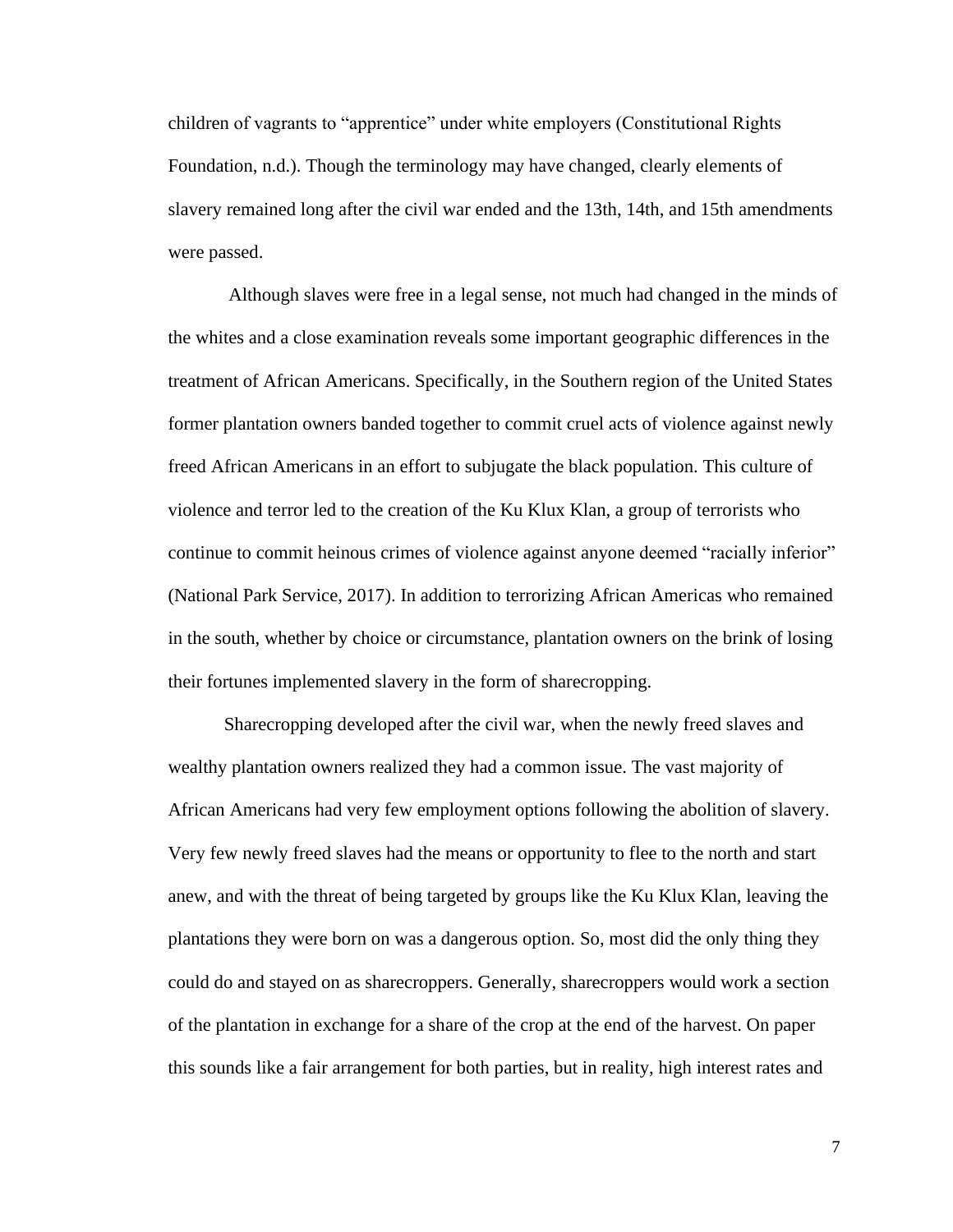children of vagrants to "apprentice" under white employers (Constitutional Rights Foundation, n.d.). Though the terminology may have changed, clearly elements of slavery remained long after the civil war ended and the 13th, 14th, and 15th amendments were passed.

Although slaves were free in a legal sense, not much had changed in the minds of the whites and a close examination reveals some important geographic differences in the treatment of African Americans. Specifically, in the Southern region of the United States former plantation owners banded together to commit cruel acts of violence against newly freed African Americans in an effort to subjugate the black population. This culture of violence and terror led to the creation of the Ku Klux Klan, a group of terrorists who continue to commit heinous crimes of violence against anyone deemed "racially inferior" (National Park Service, 2017). In addition to terrorizing African Americas who remained in the south, whether by choice or circumstance, plantation owners on the brink of losing their fortunes implemented slavery in the form of sharecropping.

Sharecropping developed after the civil war, when the newly freed slaves and wealthy plantation owners realized they had a common issue. The vast majority of African Americans had very few employment options following the abolition of slavery. Very few newly freed slaves had the means or opportunity to flee to the north and start anew, and with the threat of being targeted by groups like the Ku Klux Klan, leaving the plantations they were born on was a dangerous option. So, most did the only thing they could do and stayed on as sharecroppers. Generally, sharecroppers would work a section of the plantation in exchange for a share of the crop at the end of the harvest. On paper this sounds like a fair arrangement for both parties, but in reality, high interest rates and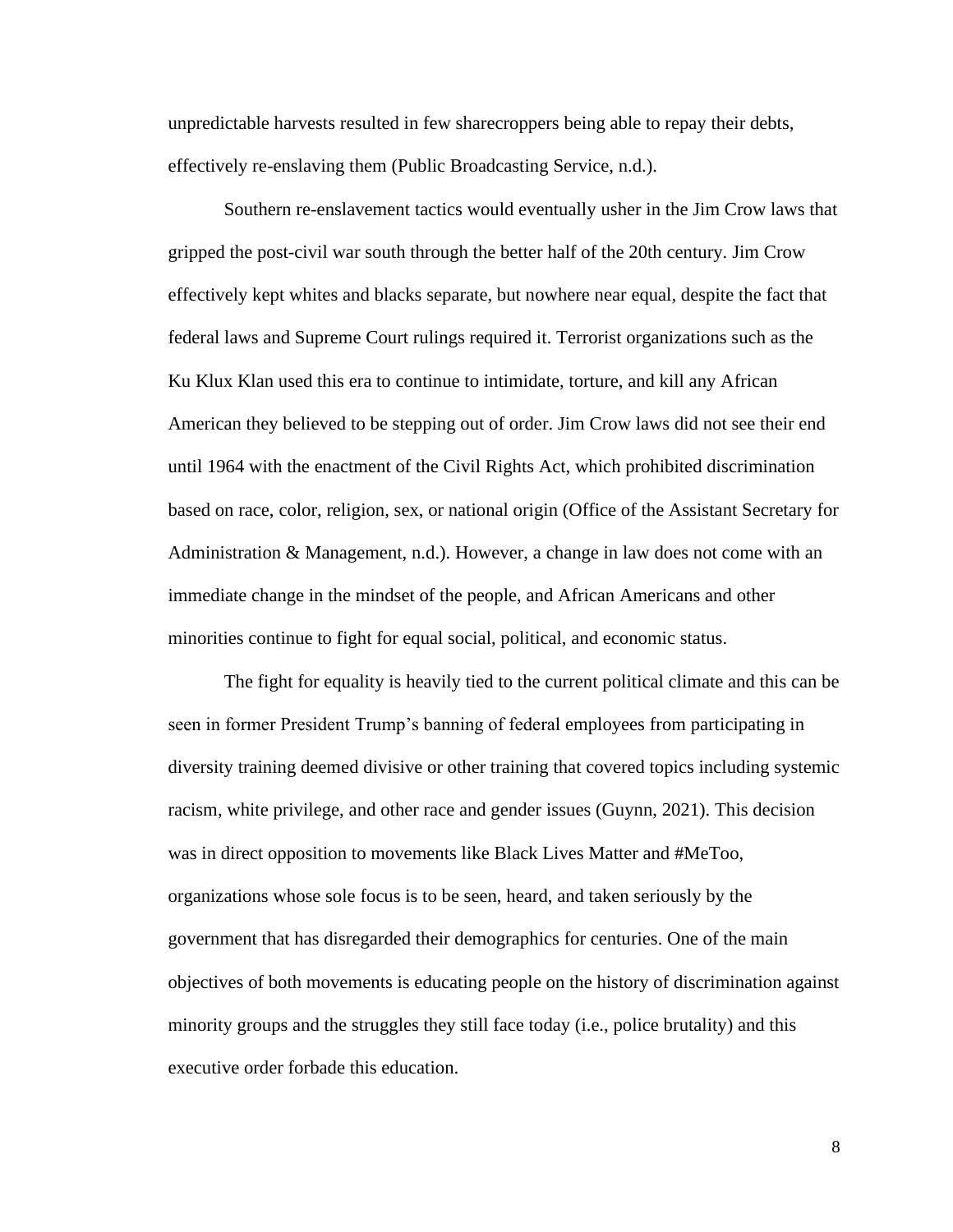unpredictable harvests resulted in few sharecroppers being able to repay their debts, effectively re-enslaving them (Public Broadcasting Service, n.d.).

Southern re-enslavement tactics would eventually usher in the Jim Crow laws that gripped the post-civil war south through the better half of the 20th century. Jim Crow effectively kept whites and blacks separate, but nowhere near equal, despite the fact that federal laws and Supreme Court rulings required it. Terrorist organizations such as the Ku Klux Klan used this era to continue to intimidate, torture, and kill any African American they believed to be stepping out of order. Jim Crow laws did not see their end until 1964 with the enactment of the Civil Rights Act, which prohibited discrimination based on race, color, religion, sex, or national origin (Office of the Assistant Secretary for Administration & Management, n.d.). However, a change in law does not come with an immediate change in the mindset of the people, and African Americans and other minorities continue to fight for equal social, political, and economic status.

The fight for equality is heavily tied to the current political climate and this can be seen in former President Trump's banning of federal employees from participating in diversity training deemed divisive or other training that covered topics including systemic racism, white privilege, and other race and gender issues (Guynn, 2021). This decision was in direct opposition to movements like Black Lives Matter and #MeToo, organizations whose sole focus is to be seen, heard, and taken seriously by the government that has disregarded their demographics for centuries. One of the main objectives of both movements is educating people on the history of discrimination against minority groups and the struggles they still face today (i.e., police brutality) and this executive order forbade this education.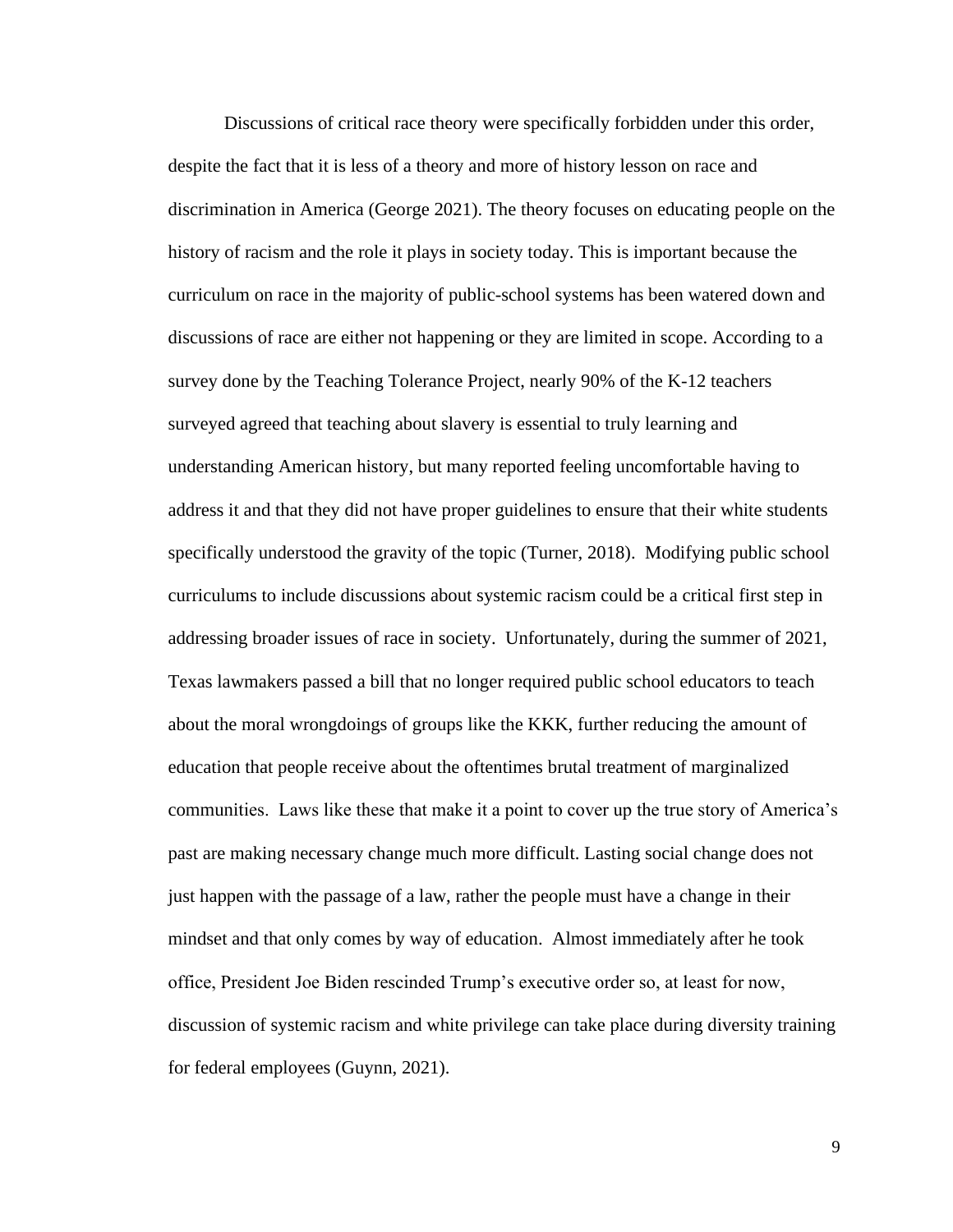Discussions of critical race theory were specifically forbidden under this order, despite the fact that it is less of a theory and more of history lesson on race and discrimination in America (George 2021). The theory focuses on educating people on the history of racism and the role it plays in society today. This is important because the curriculum on race in the majority of public-school systems has been watered down and discussions of race are either not happening or they are limited in scope. According to a survey done by the Teaching Tolerance Project, nearly 90% of the K-12 teachers surveyed agreed that teaching about slavery is essential to truly learning and understanding American history, but many reported feeling uncomfortable having to address it and that they did not have proper guidelines to ensure that their white students specifically understood the gravity of the topic (Turner, 2018). Modifying public school curriculums to include discussions about systemic racism could be a critical first step in addressing broader issues of race in society. Unfortunately, during the summer of 2021, Texas lawmakers passed a bill that no longer required public school educators to teach about the moral wrongdoings of groups like the KKK, further reducing the amount of education that people receive about the oftentimes brutal treatment of marginalized communities. Laws like these that make it a point to cover up the true story of America's past are making necessary change much more difficult. Lasting social change does not just happen with the passage of a law, rather the people must have a change in their mindset and that only comes by way of education. Almost immediately after he took office, President Joe Biden rescinded Trump's executive order so, at least for now, discussion of systemic racism and white privilege can take place during diversity training for federal employees (Guynn, 2021).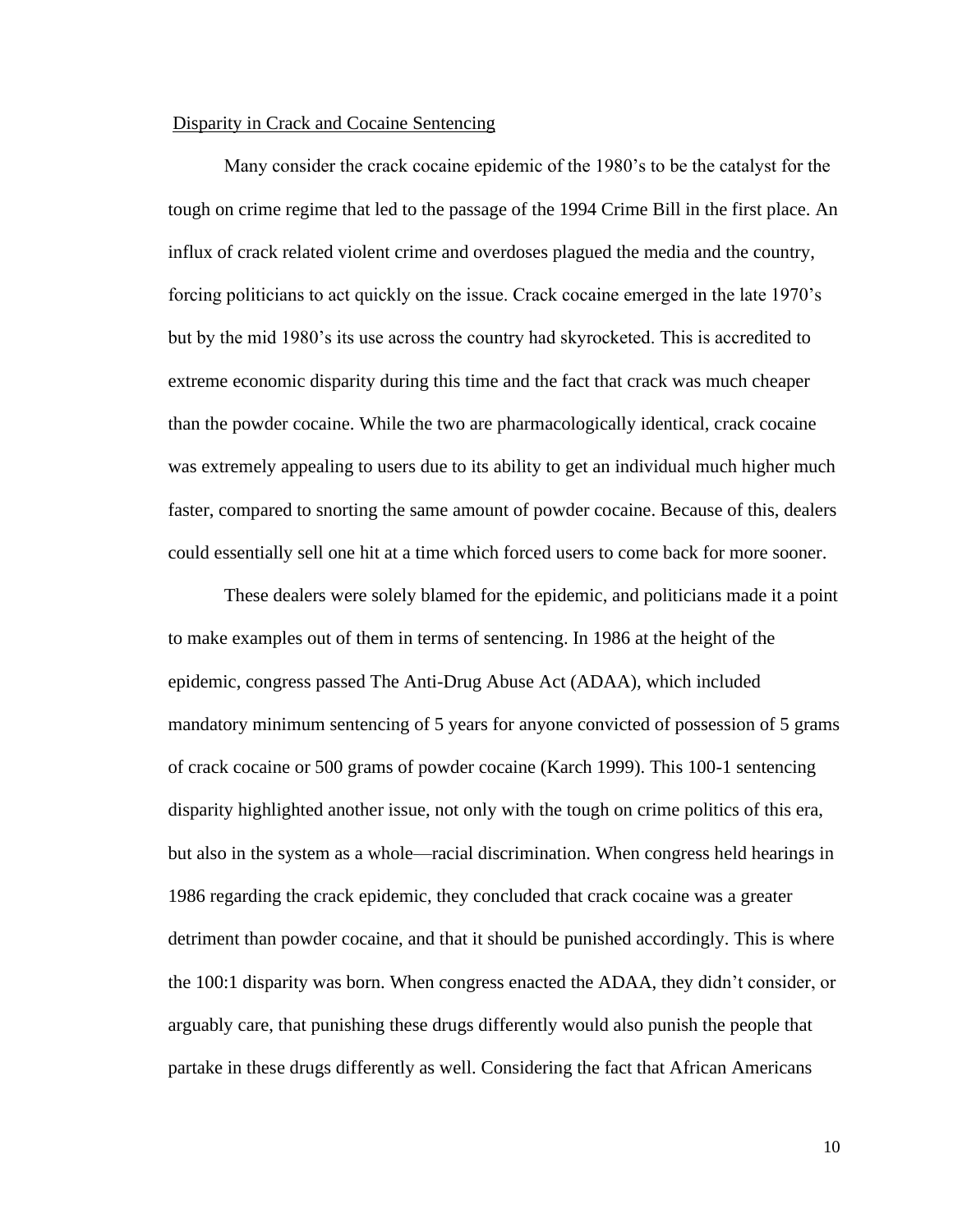#### Disparity in Crack and Cocaine Sentencing

Many consider the crack cocaine epidemic of the 1980's to be the catalyst for the tough on crime regime that led to the passage of the 1994 Crime Bill in the first place. An influx of crack related violent crime and overdoses plagued the media and the country, forcing politicians to act quickly on the issue. Crack cocaine emerged in the late 1970's but by the mid 1980's its use across the country had skyrocketed. This is accredited to extreme economic disparity during this time and the fact that crack was much cheaper than the powder cocaine. While the two are pharmacologically identical, crack cocaine was extremely appealing to users due to its ability to get an individual much higher much faster, compared to snorting the same amount of powder cocaine. Because of this, dealers could essentially sell one hit at a time which forced users to come back for more sooner.

These dealers were solely blamed for the epidemic, and politicians made it a point to make examples out of them in terms of sentencing. In 1986 at the height of the epidemic, congress passed The Anti-Drug Abuse Act (ADAA), which included mandatory minimum sentencing of 5 years for anyone convicted of possession of 5 grams of crack cocaine or 500 grams of powder cocaine (Karch 1999). This 100-1 sentencing disparity highlighted another issue, not only with the tough on crime politics of this era, but also in the system as a whole—racial discrimination. When congress held hearings in 1986 regarding the crack epidemic, they concluded that crack cocaine was a greater detriment than powder cocaine, and that it should be punished accordingly. This is where the 100:1 disparity was born. When congress enacted the ADAA, they didn't consider, or arguably care, that punishing these drugs differently would also punish the people that partake in these drugs differently as well. Considering the fact that African Americans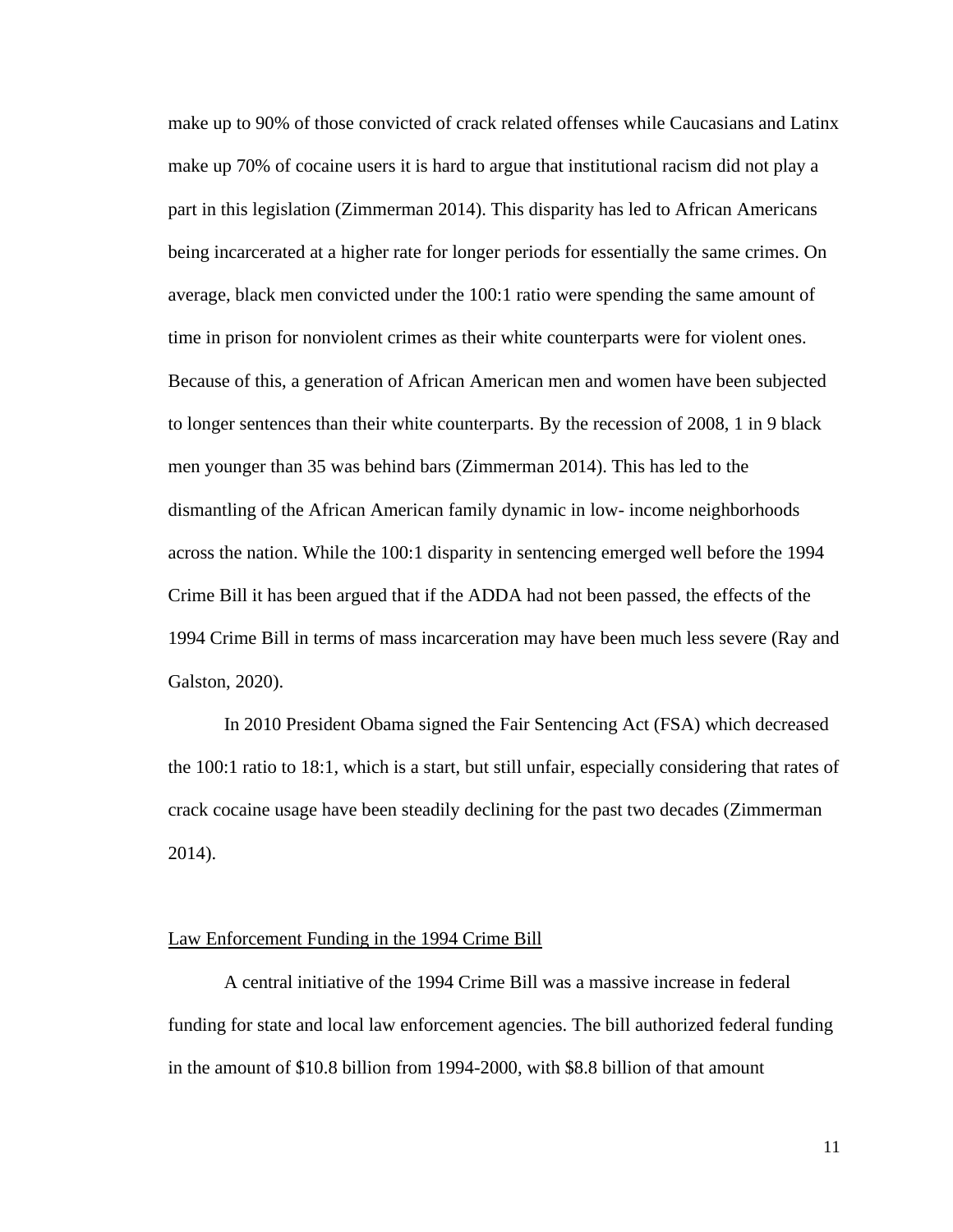make up to 90% of those convicted of crack related offenses while Caucasians and Latinx make up 70% of cocaine users it is hard to argue that institutional racism did not play a part in this legislation (Zimmerman 2014). This disparity has led to African Americans being incarcerated at a higher rate for longer periods for essentially the same crimes. On average, black men convicted under the 100:1 ratio were spending the same amount of time in prison for nonviolent crimes as their white counterparts were for violent ones. Because of this, a generation of African American men and women have been subjected to longer sentences than their white counterparts. By the recession of 2008, 1 in 9 black men younger than 35 was behind bars (Zimmerman 2014). This has led to the dismantling of the African American family dynamic in low- income neighborhoods across the nation. While the 100:1 disparity in sentencing emerged well before the 1994 Crime Bill it has been argued that if the ADDA had not been passed, the effects of the 1994 Crime Bill in terms of mass incarceration may have been much less severe (Ray and Galston, 2020).

In 2010 President Obama signed the Fair Sentencing Act (FSA) which decreased the 100:1 ratio to 18:1, which is a start, but still unfair, especially considering that rates of crack cocaine usage have been steadily declining for the past two decades (Zimmerman 2014).

#### Law Enforcement Funding in the 1994 Crime Bill

A central initiative of the 1994 Crime Bill was a massive increase in federal funding for state and local law enforcement agencies. The bill authorized federal funding in the amount of \$10.8 billion from 1994-2000, with \$8.8 billion of that amount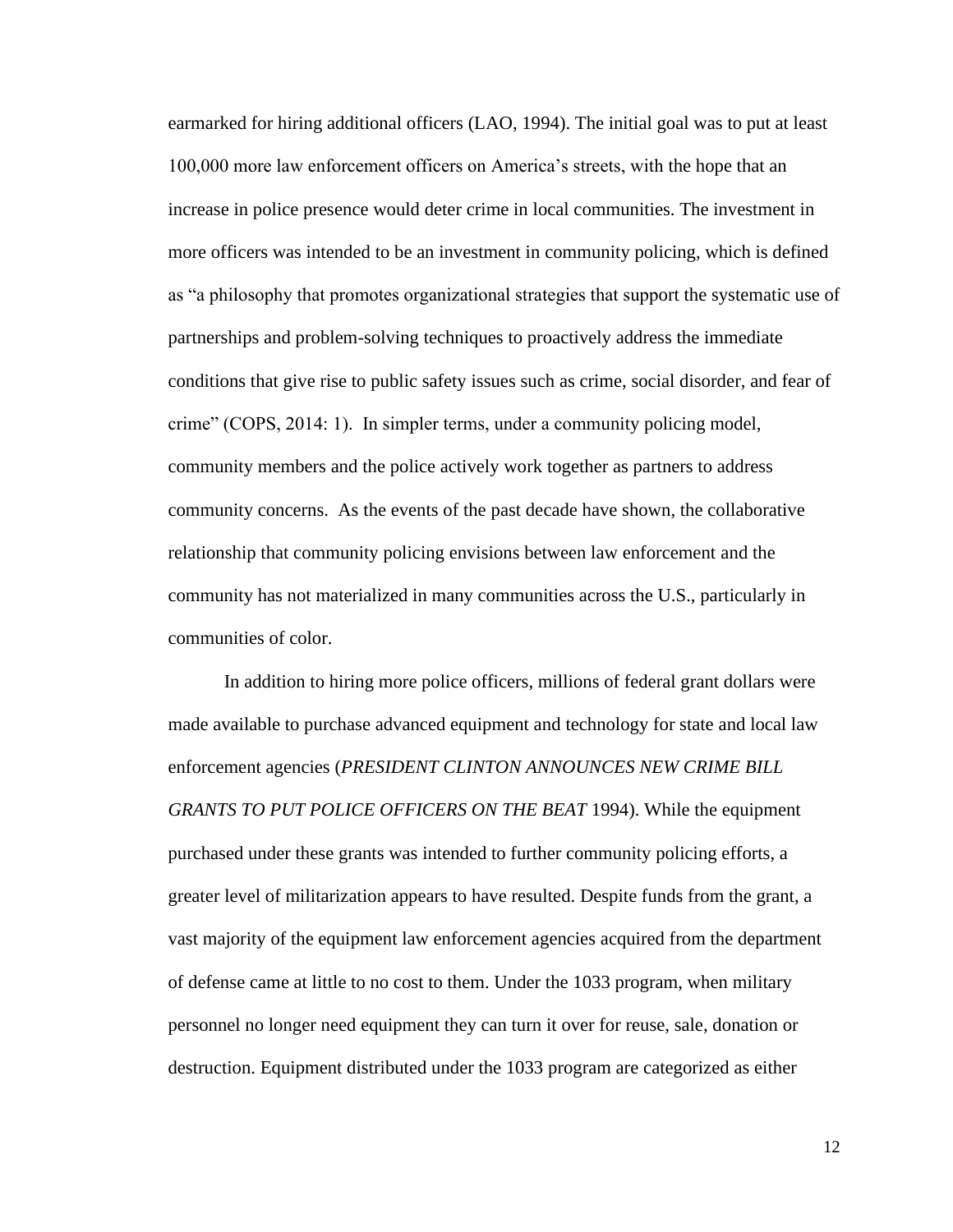earmarked for hiring additional officers (LAO, 1994). The initial goal was to put at least 100,000 more law enforcement officers on America's streets, with the hope that an increase in police presence would deter crime in local communities. The investment in more officers was intended to be an investment in community policing, which is defined as "a philosophy that promotes organizational strategies that support the systematic use of partnerships and problem-solving techniques to proactively address the immediate conditions that give rise to public safety issues such as crime, social disorder, and fear of crime" (COPS, 2014: 1). In simpler terms, under a community policing model, community members and the police actively work together as partners to address community concerns. As the events of the past decade have shown, the collaborative relationship that community policing envisions between law enforcement and the community has not materialized in many communities across the U.S., particularly in communities of color.

In addition to hiring more police officers, millions of federal grant dollars were made available to purchase advanced equipment and technology for state and local law enforcement agencies (*PRESIDENT CLINTON ANNOUNCES NEW CRIME BILL GRANTS TO PUT POLICE OFFICERS ON THE BEAT* 1994). While the equipment purchased under these grants was intended to further community policing efforts, a greater level of militarization appears to have resulted. Despite funds from the grant, a vast majority of the equipment law enforcement agencies acquired from the department of defense came at little to no cost to them. Under the 1033 program, when military personnel no longer need equipment they can turn it over for reuse, sale, donation or destruction. Equipment distributed under the 1033 program are categorized as either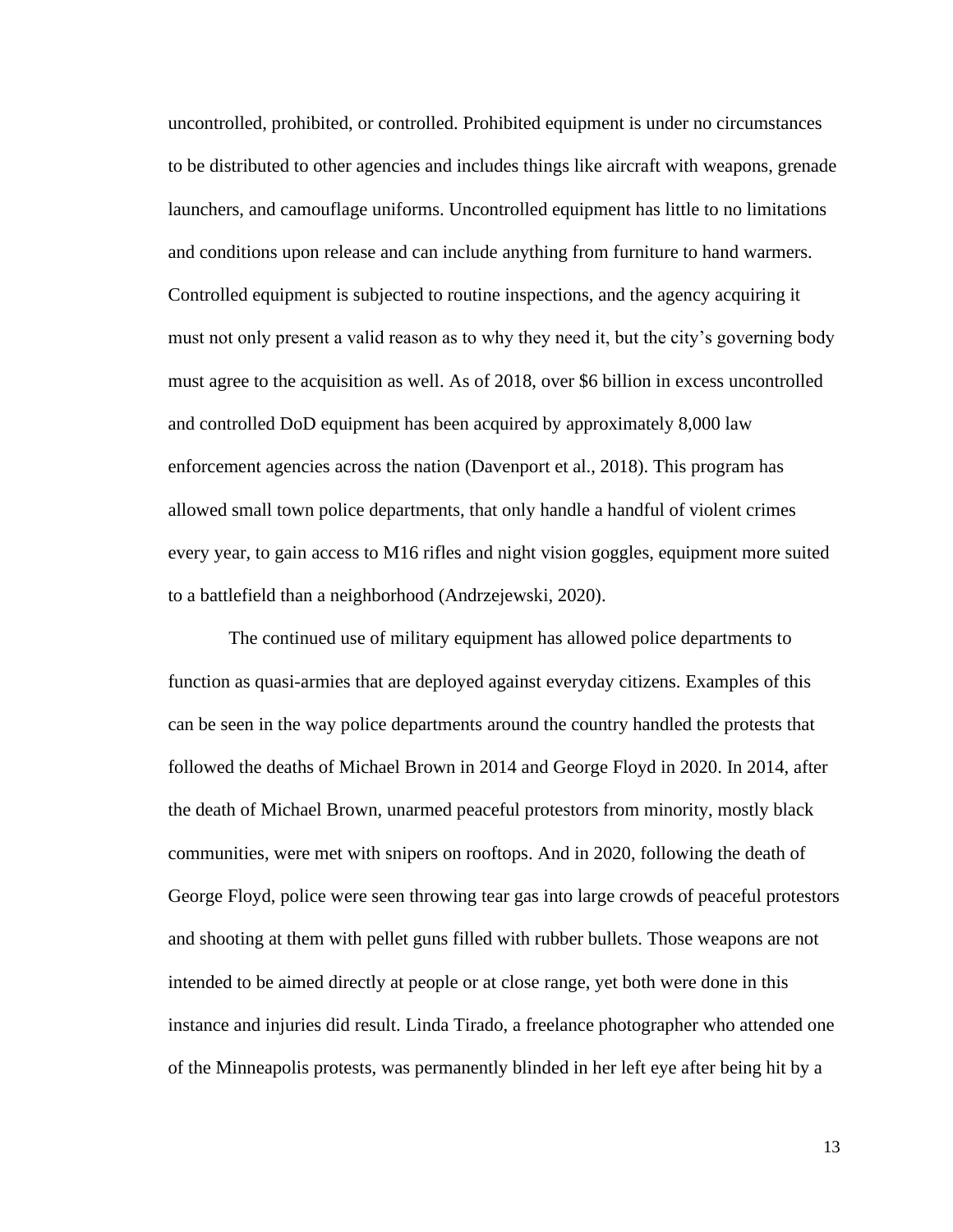uncontrolled, prohibited, or controlled. Prohibited equipment is under no circumstances to be distributed to other agencies and includes things like aircraft with weapons, grenade launchers, and camouflage uniforms. Uncontrolled equipment has little to no limitations and conditions upon release and can include anything from furniture to hand warmers. Controlled equipment is subjected to routine inspections, and the agency acquiring it must not only present a valid reason as to why they need it, but the city's governing body must agree to the acquisition as well. As of 2018, over \$6 billion in excess uncontrolled and controlled DoD equipment has been acquired by approximately 8,000 law enforcement agencies across the nation (Davenport et al., 2018). This program has allowed small town police departments, that only handle a handful of violent crimes every year, to gain access to M16 rifles and night vision goggles, equipment more suited to a battlefield than a neighborhood (Andrzejewski, 2020).

The continued use of military equipment has allowed police departments to function as quasi-armies that are deployed against everyday citizens. Examples of this can be seen in the way police departments around the country handled the protests that followed the deaths of Michael Brown in 2014 and George Floyd in 2020. In 2014, after the death of Michael Brown, unarmed peaceful protestors from minority, mostly black communities, were met with snipers on rooftops. And in 2020, following the death of George Floyd, police were seen throwing tear gas into large crowds of peaceful protestors and shooting at them with pellet guns filled with rubber bullets. Those weapons are not intended to be aimed directly at people or at close range, yet both were done in this instance and injuries did result. Linda Tirado, a freelance photographer who attended one of the Minneapolis protests, was permanently blinded in her left eye after being hit by a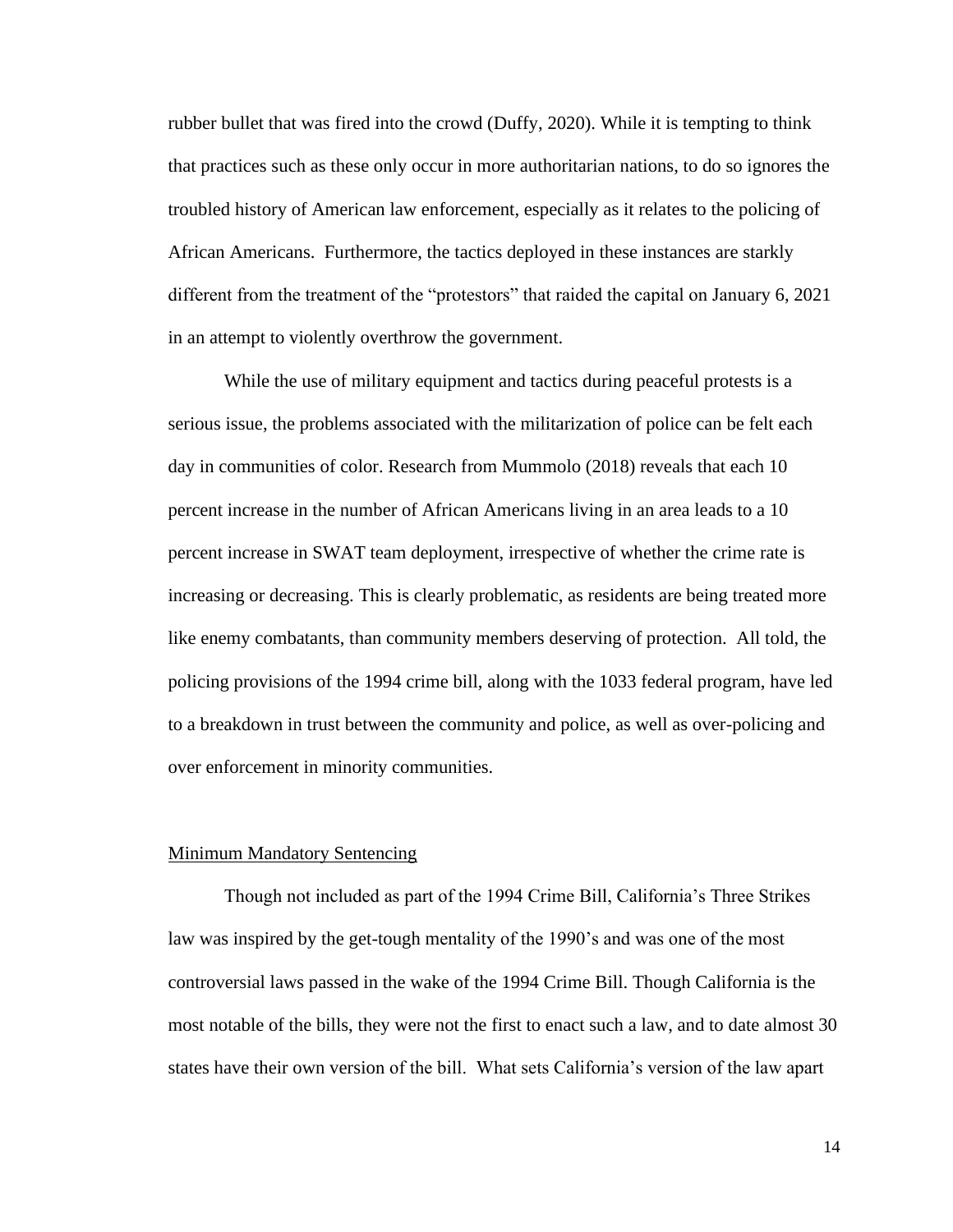rubber bullet that was fired into the crowd (Duffy, 2020). While it is tempting to think that practices such as these only occur in more authoritarian nations, to do so ignores the troubled history of American law enforcement, especially as it relates to the policing of African Americans. Furthermore, the tactics deployed in these instances are starkly different from the treatment of the "protestors" that raided the capital on January 6, 2021 in an attempt to violently overthrow the government.

While the use of military equipment and tactics during peaceful protests is a serious issue, the problems associated with the militarization of police can be felt each day in communities of color. Research from Mummolo (2018) reveals that each 10 percent increase in the number of African Americans living in an area leads to a 10 percent increase in SWAT team deployment, irrespective of whether the crime rate is increasing or decreasing. This is clearly problematic, as residents are being treated more like enemy combatants, than community members deserving of protection. All told, the policing provisions of the 1994 crime bill, along with the 1033 federal program, have led to a breakdown in trust between the community and police, as well as over-policing and over enforcement in minority communities.

### Minimum Mandatory Sentencing

Though not included as part of the 1994 Crime Bill, California's Three Strikes law was inspired by the get-tough mentality of the 1990's and was one of the most controversial laws passed in the wake of the 1994 Crime Bill. Though California is the most notable of the bills, they were not the first to enact such a law, and to date almost 30 states have their own version of the bill. What sets California's version of the law apart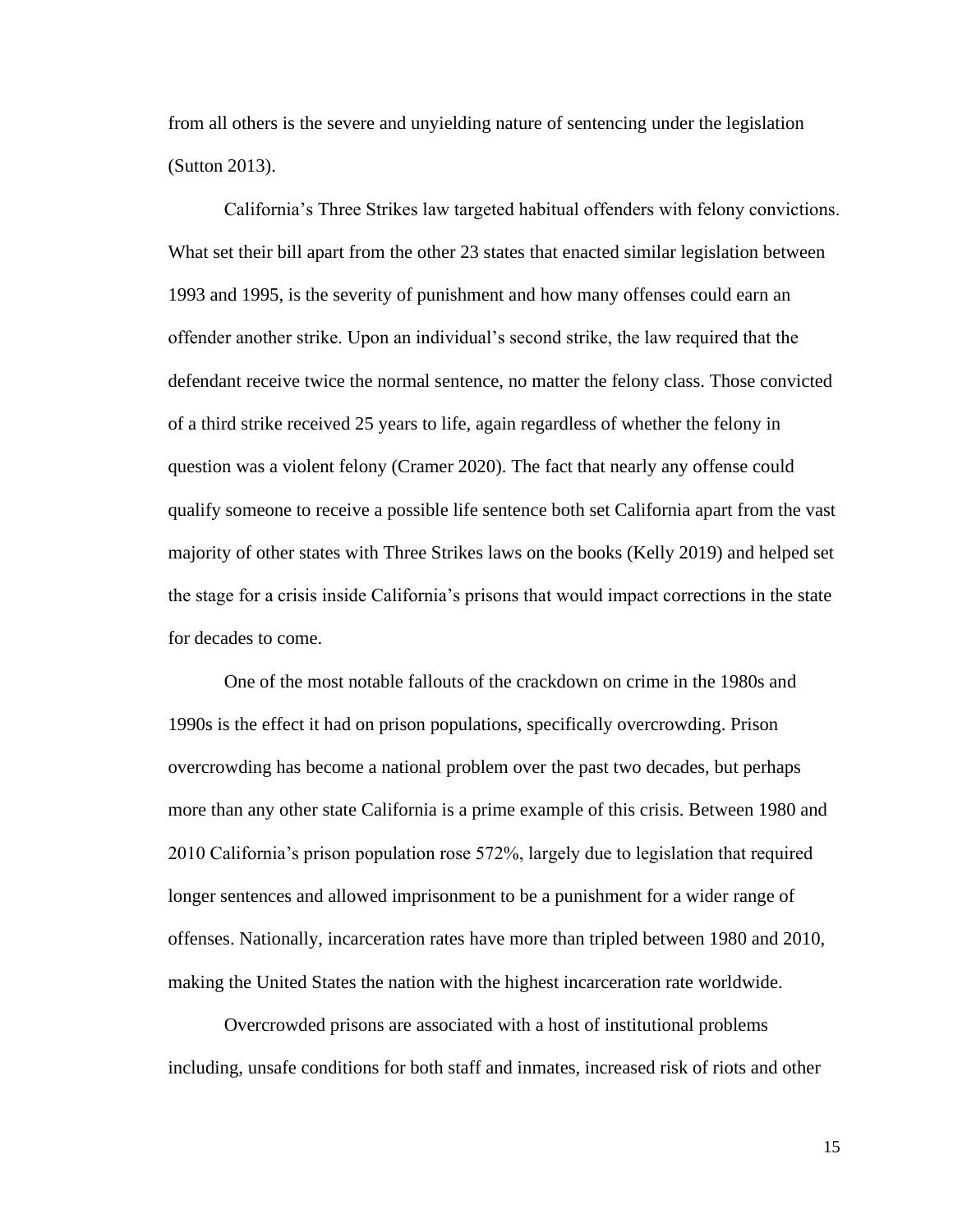from all others is the severe and unyielding nature of sentencing under the legislation (Sutton 2013).

California's Three Strikes law targeted habitual offenders with felony convictions. What set their bill apart from the other 23 states that enacted similar legislation between 1993 and 1995, is the severity of punishment and how many offenses could earn an offender another strike. Upon an individual's second strike, the law required that the defendant receive twice the normal sentence, no matter the felony class. Those convicted of a third strike received 25 years to life, again regardless of whether the felony in question was a violent felony (Cramer 2020). The fact that nearly any offense could qualify someone to receive a possible life sentence both set California apart from the vast majority of other states with Three Strikes laws on the books (Kelly 2019) and helped set the stage for a crisis inside California's prisons that would impact corrections in the state for decades to come.

One of the most notable fallouts of the crackdown on crime in the 1980s and 1990s is the effect it had on prison populations, specifically overcrowding. Prison overcrowding has become a national problem over the past two decades, but perhaps more than any other state California is a prime example of this crisis. Between 1980 and 2010 California's prison population rose 572%, largely due to legislation that required longer sentences and allowed imprisonment to be a punishment for a wider range of offenses. Nationally, incarceration rates have more than tripled between 1980 and 2010, making the United States the nation with the highest incarceration rate worldwide.

Overcrowded prisons are associated with a host of institutional problems including, unsafe conditions for both staff and inmates, increased risk of riots and other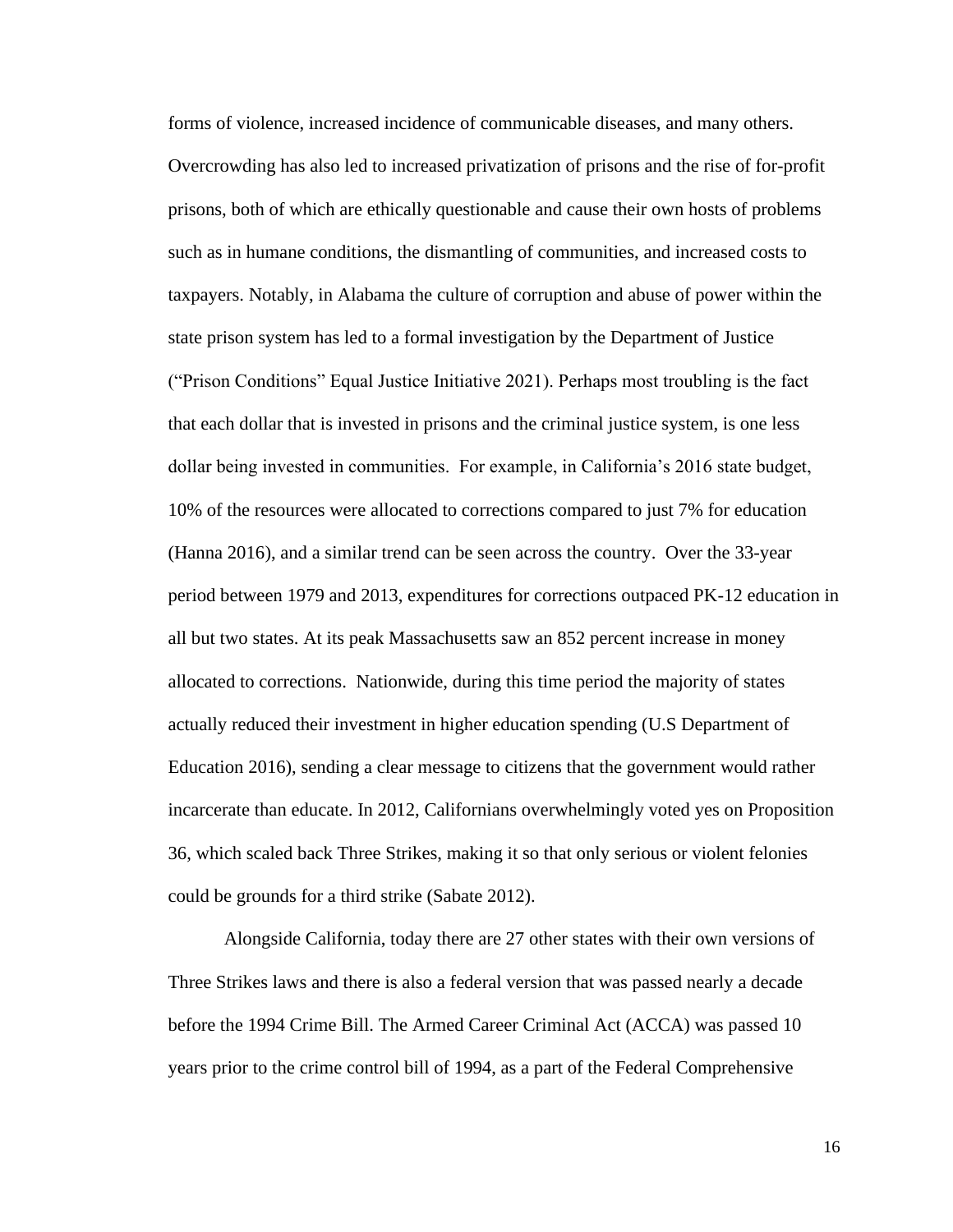forms of violence, increased incidence of communicable diseases, and many others. Overcrowding has also led to increased privatization of prisons and the rise of for-profit prisons, both of which are ethically questionable and cause their own hosts of problems such as in humane conditions, the dismantling of communities, and increased costs to taxpayers. Notably, in Alabama the culture of corruption and abuse of power within the state prison system has led to a formal investigation by the Department of Justice ("Prison Conditions" Equal Justice Initiative 2021). Perhaps most troubling is the fact that each dollar that is invested in prisons and the criminal justice system, is one less dollar being invested in communities. For example, in California's 2016 state budget, 10% of the resources were allocated to corrections compared to just 7% for education (Hanna 2016), and a similar trend can be seen across the country. Over the 33-year period between 1979 and 2013, expenditures for corrections outpaced PK-12 education in all but two states. At its peak Massachusetts saw an 852 percent increase in money allocated to corrections. Nationwide, during this time period the majority of states actually reduced their investment in higher education spending (U.S Department of Education 2016), sending a clear message to citizens that the government would rather incarcerate than educate. In 2012, Californians overwhelmingly voted yes on Proposition 36, which scaled back Three Strikes, making it so that only serious or violent felonies could be grounds for a third strike (Sabate 2012).

Alongside California, today there are 27 other states with their own versions of Three Strikes laws and there is also a federal version that was passed nearly a decade before the 1994 Crime Bill. The Armed Career Criminal Act (ACCA) was passed 10 years prior to the crime control bill of 1994, as a part of the Federal Comprehensive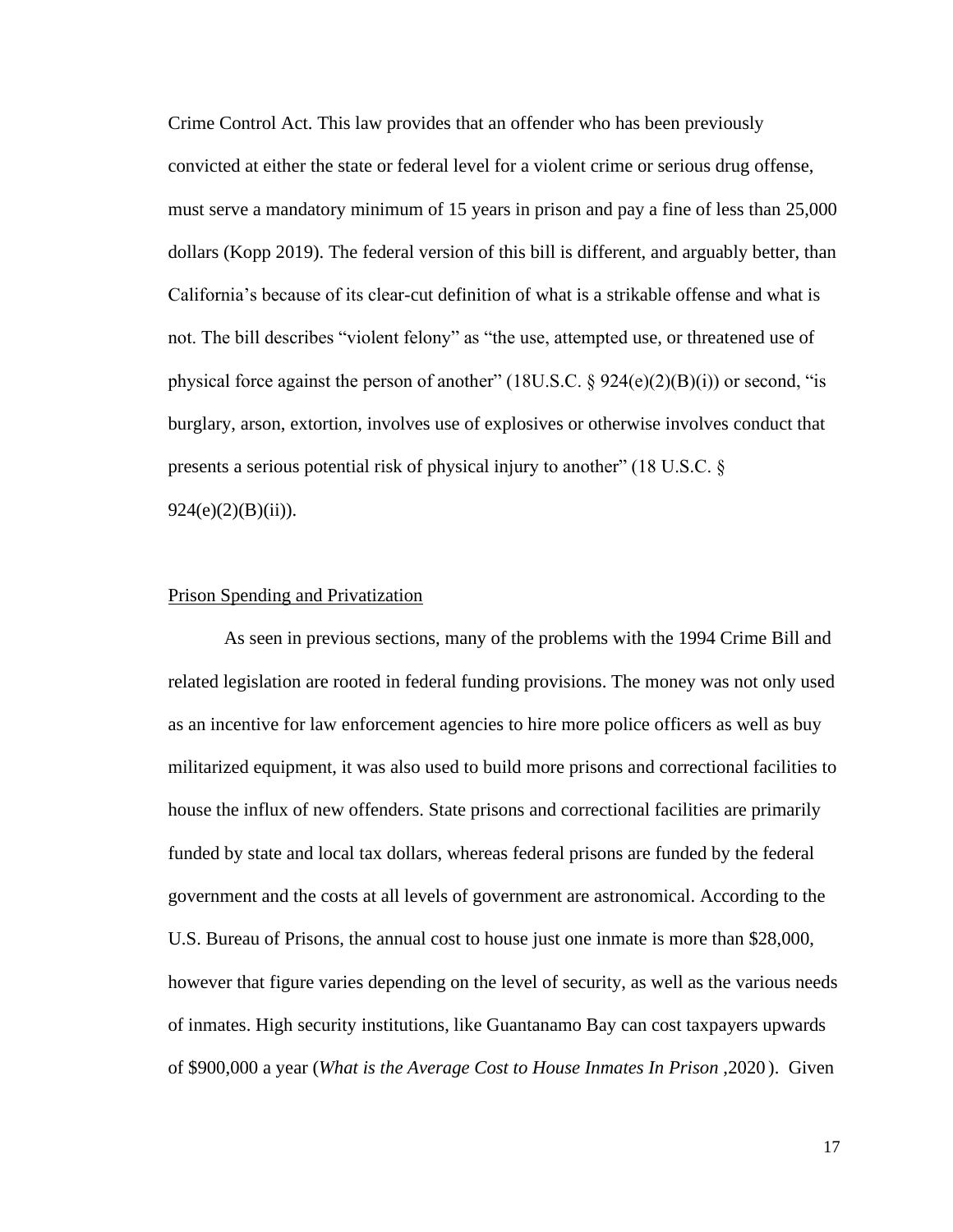Crime Control Act. This law provides that an offender who has been previously convicted at either the state or federal level for a violent crime or serious drug offense, must serve a mandatory minimum of 15 years in prison and pay a fine of less than 25,000 dollars (Kopp 2019). The federal version of this bill is different, and arguably better, than California's because of its clear-cut definition of what is a strikable offense and what is not. The bill describes "violent felony" as "the use, attempted use, or threatened use of physical force against the person of another" (18U.S.C.  $\S 924(e)(2)(B)(i)$ ) or second, "is burglary, arson, extortion, involves use of explosives or otherwise involves conduct that presents a serious potential risk of physical injury to another" (18 U.S.C. §  $924(e)(2)(B)(ii)$ ).

#### Prison Spending and Privatization

As seen in previous sections, many of the problems with the 1994 Crime Bill and related legislation are rooted in federal funding provisions. The money was not only used as an incentive for law enforcement agencies to hire more police officers as well as buy militarized equipment, it was also used to build more prisons and correctional facilities to house the influx of new offenders. State prisons and correctional facilities are primarily funded by state and local tax dollars, whereas federal prisons are funded by the federal government and the costs at all levels of government are astronomical. According to the U.S. Bureau of Prisons, the annual cost to house just one inmate is more than \$28,000, however that figure varies depending on the level of security, as well as the various needs of inmates. High security institutions, like Guantanamo Bay can cost taxpayers upwards of \$900,000 a year (*What is the Average Cost to House Inmates In Prison* ,2020 ). Given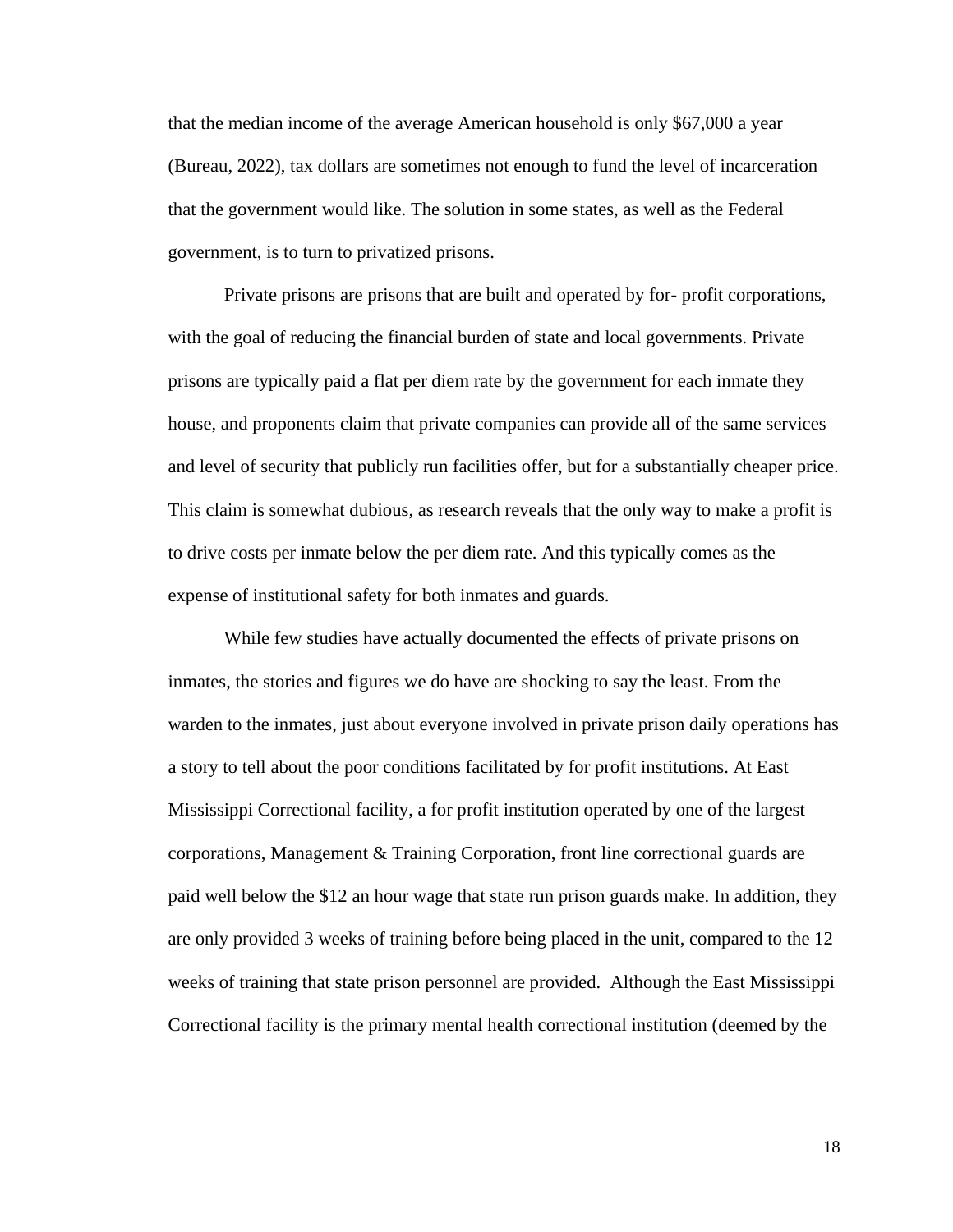that the median income of the average American household is only \$67,000 a year (Bureau, 2022), tax dollars are sometimes not enough to fund the level of incarceration that the government would like. The solution in some states, as well as the Federal government, is to turn to privatized prisons.

Private prisons are prisons that are built and operated by for- profit corporations, with the goal of reducing the financial burden of state and local governments. Private prisons are typically paid a flat per diem rate by the government for each inmate they house, and proponents claim that private companies can provide all of the same services and level of security that publicly run facilities offer, but for a substantially cheaper price. This claim is somewhat dubious, as research reveals that the only way to make a profit is to drive costs per inmate below the per diem rate. And this typically comes as the expense of institutional safety for both inmates and guards.

While few studies have actually documented the effects of private prisons on inmates, the stories and figures we do have are shocking to say the least. From the warden to the inmates, just about everyone involved in private prison daily operations has a story to tell about the poor conditions facilitated by for profit institutions. At East Mississippi Correctional facility, a for profit institution operated by one of the largest corporations, Management & Training Corporation, front line correctional guards are paid well below the \$12 an hour wage that state run prison guards make. In addition, they are only provided 3 weeks of training before being placed in the unit, compared to the 12 weeks of training that state prison personnel are provided. Although the East Mississippi Correctional facility is the primary mental health correctional institution (deemed by the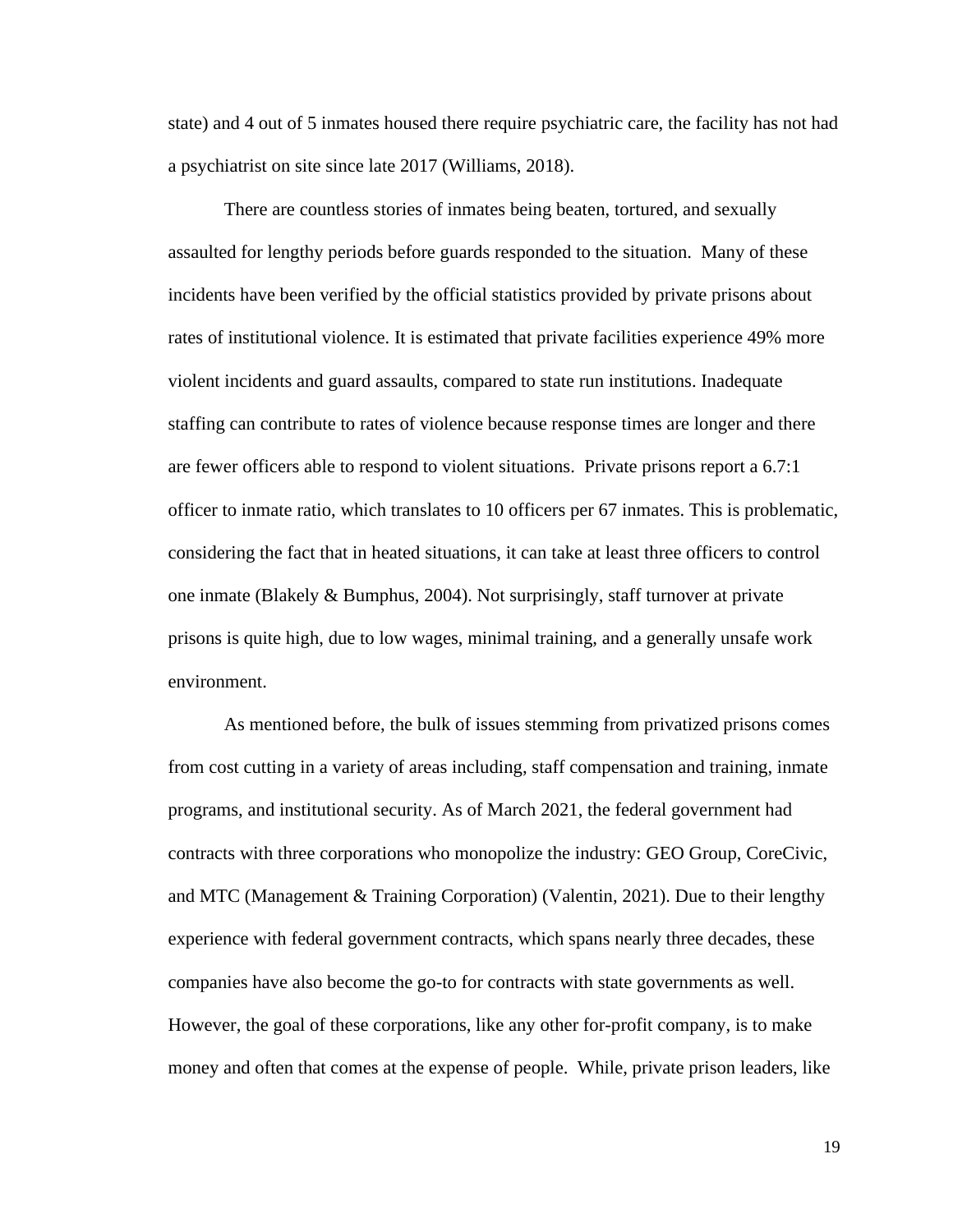state) and 4 out of 5 inmates housed there require psychiatric care, the facility has not had a psychiatrist on site since late 2017 (Williams, 2018).

There are countless stories of inmates being beaten, tortured, and sexually assaulted for lengthy periods before guards responded to the situation. Many of these incidents have been verified by the official statistics provided by private prisons about rates of institutional violence. It is estimated that private facilities experience 49% more violent incidents and guard assaults, compared to state run institutions. Inadequate staffing can contribute to rates of violence because response times are longer and there are fewer officers able to respond to violent situations. Private prisons report a 6.7:1 officer to inmate ratio, which translates to 10 officers per 67 inmates. This is problematic, considering the fact that in heated situations, it can take at least three officers to control one inmate (Blakely & Bumphus, 2004). Not surprisingly, staff turnover at private prisons is quite high, due to low wages, minimal training, and a generally unsafe work environment.

As mentioned before, the bulk of issues stemming from privatized prisons comes from cost cutting in a variety of areas including, staff compensation and training, inmate programs, and institutional security. As of March 2021, the federal government had contracts with three corporations who monopolize the industry: GEO Group, CoreCivic, and MTC (Management & Training Corporation) (Valentin, 2021). Due to their lengthy experience with federal government contracts, which spans nearly three decades, these companies have also become the go-to for contracts with state governments as well. However, the goal of these corporations, like any other for-profit company, is to make money and often that comes at the expense of people. While, private prison leaders, like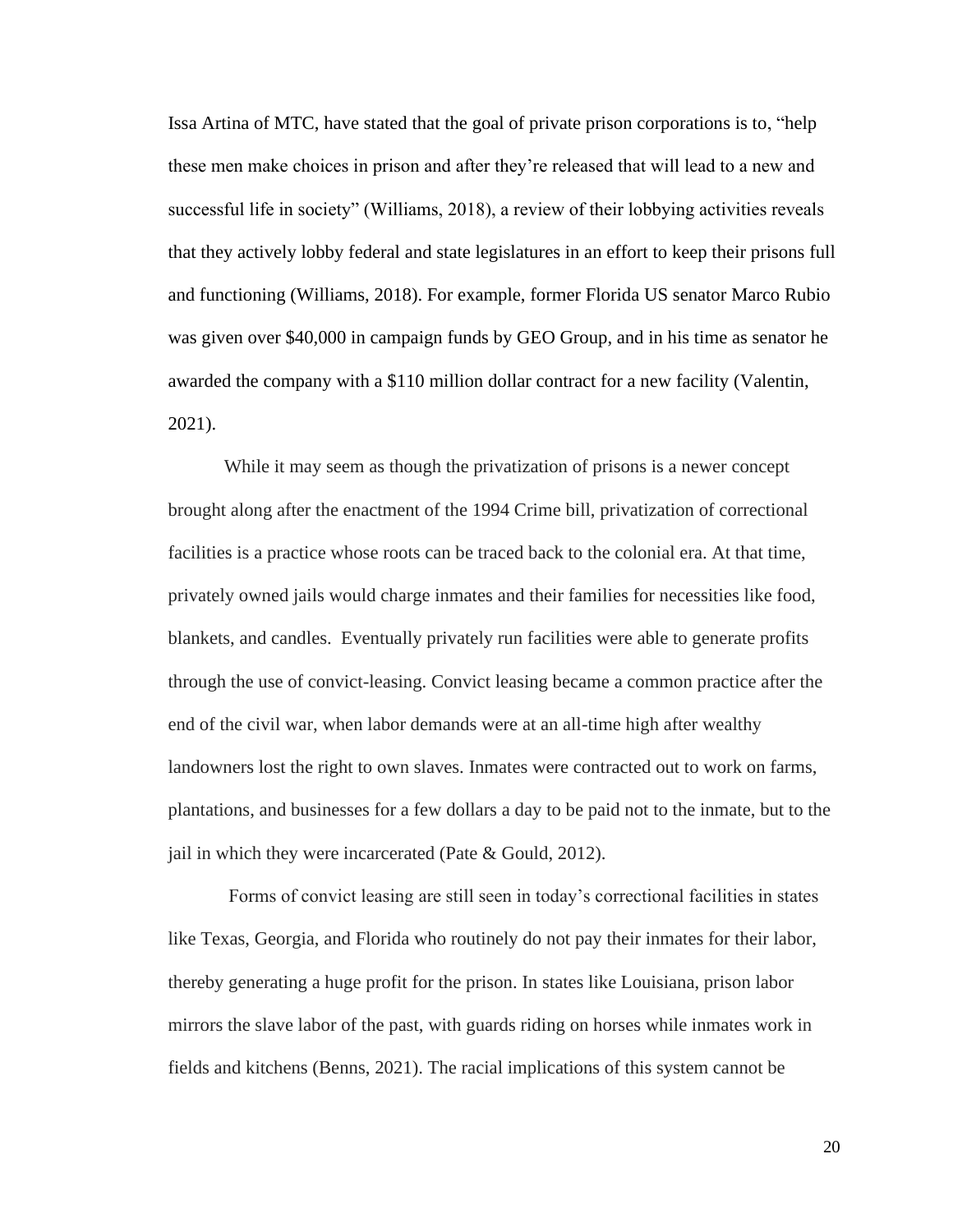Issa Artina of MTC, have stated that the goal of private prison corporations is to, "help these men make choices in prison and after they're released that will lead to a new and successful life in society" (Williams, 2018), a review of their lobbying activities reveals that they actively lobby federal and state legislatures in an effort to keep their prisons full and functioning (Williams, 2018). For example, former Florida US senator Marco Rubio was given over \$40,000 in campaign funds by GEO Group, and in his time as senator he awarded the company with a \$110 million dollar contract for a new facility (Valentin, 2021).

 While it may seem as though the privatization of prisons is a newer concept brought along after the enactment of the 1994 Crime bill, privatization of correctional facilities is a practice whose roots can be traced back to the colonial era. At that time, privately owned jails would charge inmates and their families for necessities like food, blankets, and candles. Eventually privately run facilities were able to generate profits through the use of convict-leasing. Convict leasing became a common practice after the end of the civil war, when labor demands were at an all-time high after wealthy landowners lost the right to own slaves. Inmates were contracted out to work on farms, plantations, and businesses for a few dollars a day to be paid not to the inmate, but to the jail in which they were incarcerated (Pate & Gould, 2012).

Forms of convict leasing are still seen in today's correctional facilities in states like Texas, Georgia, and Florida who routinely do not pay their inmates for their labor, thereby generating a huge profit for the prison. In states like Louisiana, prison labor mirrors the slave labor of the past, with guards riding on horses while inmates work in fields and kitchens (Benns, 2021). The racial implications of this system cannot be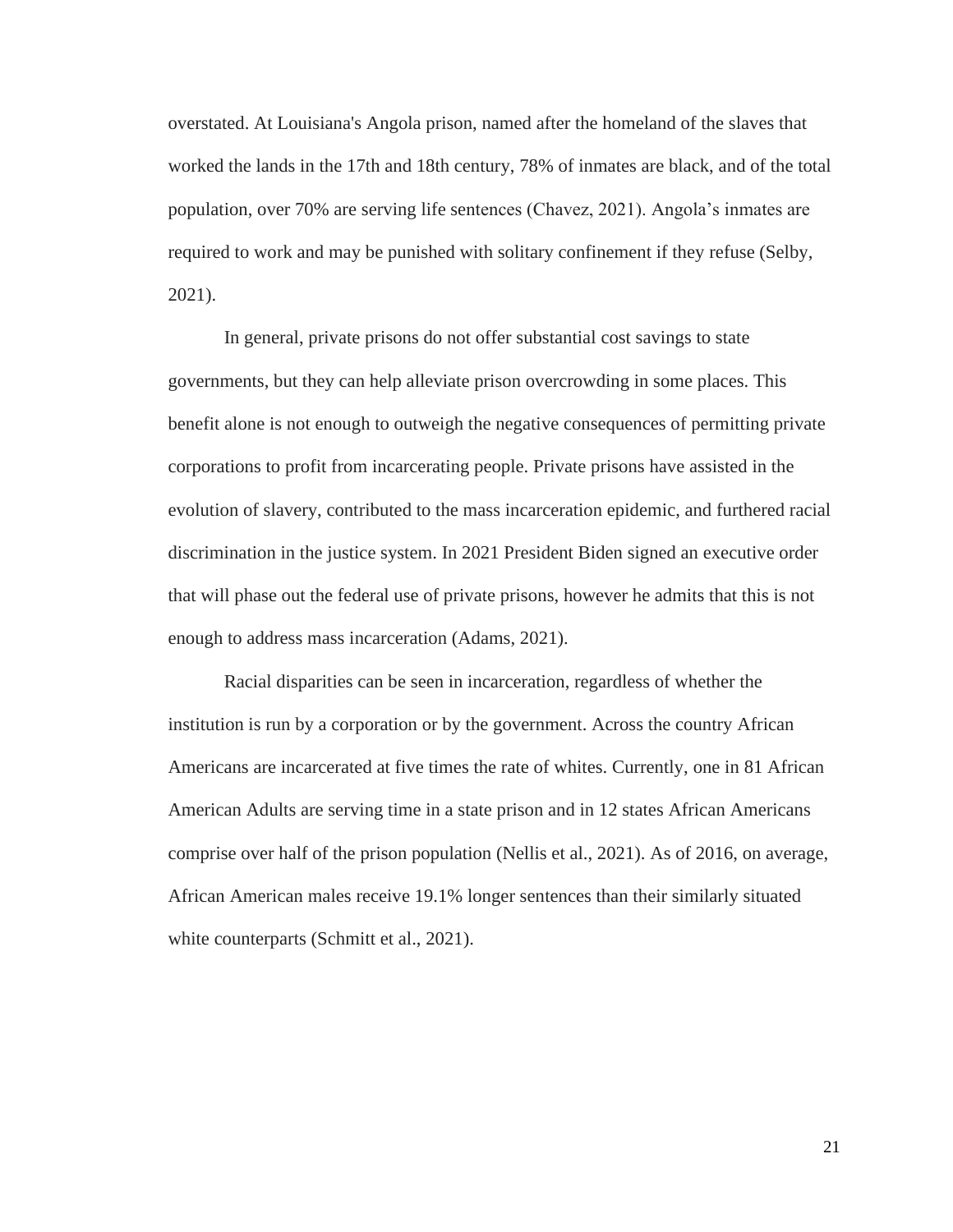overstated. At Louisiana's Angola prison, named after the homeland of the slaves that worked the lands in the 17th and 18th century, 78% of inmates are black, and of the total population, over 70% are serving life sentences (Chavez, 2021). Angola's inmates are required to work and may be punished with solitary confinement if they refuse (Selby, 2021).

In general, private prisons do not offer substantial cost savings to state governments, but they can help alleviate prison overcrowding in some places. This benefit alone is not enough to outweigh the negative consequences of permitting private corporations to profit from incarcerating people. Private prisons have assisted in the evolution of slavery, contributed to the mass incarceration epidemic, and furthered racial discrimination in the justice system. In 2021 President Biden signed an executive order that will phase out the federal use of private prisons, however he admits that this is not enough to address mass incarceration (Adams, 2021).

Racial disparities can be seen in incarceration, regardless of whether the institution is run by a corporation or by the government. Across the country African Americans are incarcerated at five times the rate of whites. Currently, one in 81 African American Adults are serving time in a state prison and in 12 states African Americans comprise over half of the prison population (Nellis et al., 2021). As of 2016, on average, African American males receive 19.1% longer sentences than their similarly situated white counterparts (Schmitt et al., 2021).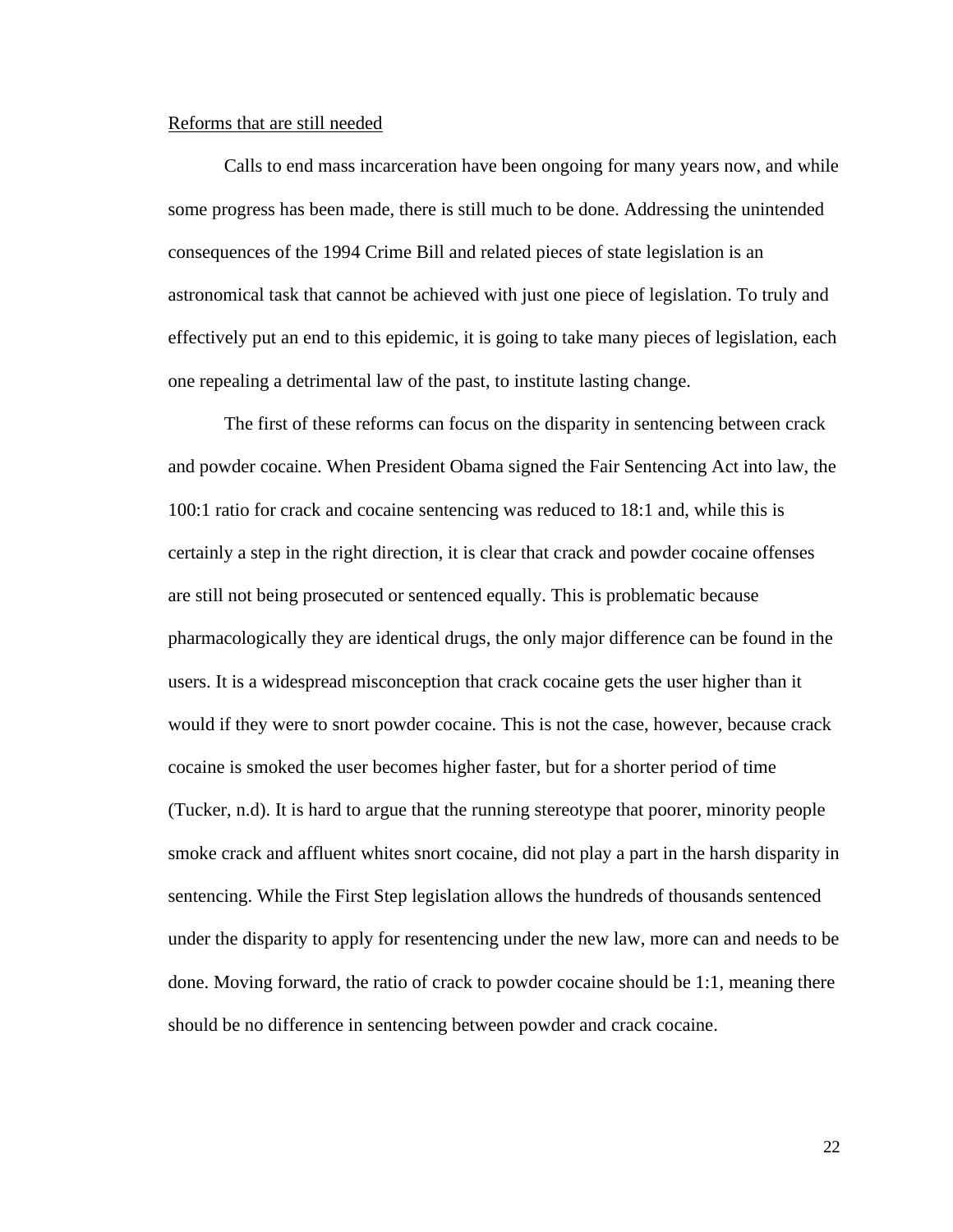#### Reforms that are still needed

Calls to end mass incarceration have been ongoing for many years now, and while some progress has been made, there is still much to be done. Addressing the unintended consequences of the 1994 Crime Bill and related pieces of state legislation is an astronomical task that cannot be achieved with just one piece of legislation. To truly and effectively put an end to this epidemic, it is going to take many pieces of legislation, each one repealing a detrimental law of the past, to institute lasting change.

The first of these reforms can focus on the disparity in sentencing between crack and powder cocaine. When President Obama signed the Fair Sentencing Act into law, the 100:1 ratio for crack and cocaine sentencing was reduced to 18:1 and, while this is certainly a step in the right direction, it is clear that crack and powder cocaine offenses are still not being prosecuted or sentenced equally. This is problematic because pharmacologically they are identical drugs, the only major difference can be found in the users. It is a widespread misconception that crack cocaine gets the user higher than it would if they were to snort powder cocaine. This is not the case, however, because crack cocaine is smoked the user becomes higher faster, but for a shorter period of time (Tucker, n.d). It is hard to argue that the running stereotype that poorer, minority people smoke crack and affluent whites snort cocaine, did not play a part in the harsh disparity in sentencing. While the First Step legislation allows the hundreds of thousands sentenced under the disparity to apply for resentencing under the new law, more can and needs to be done. Moving forward, the ratio of crack to powder cocaine should be 1:1, meaning there should be no difference in sentencing between powder and crack cocaine.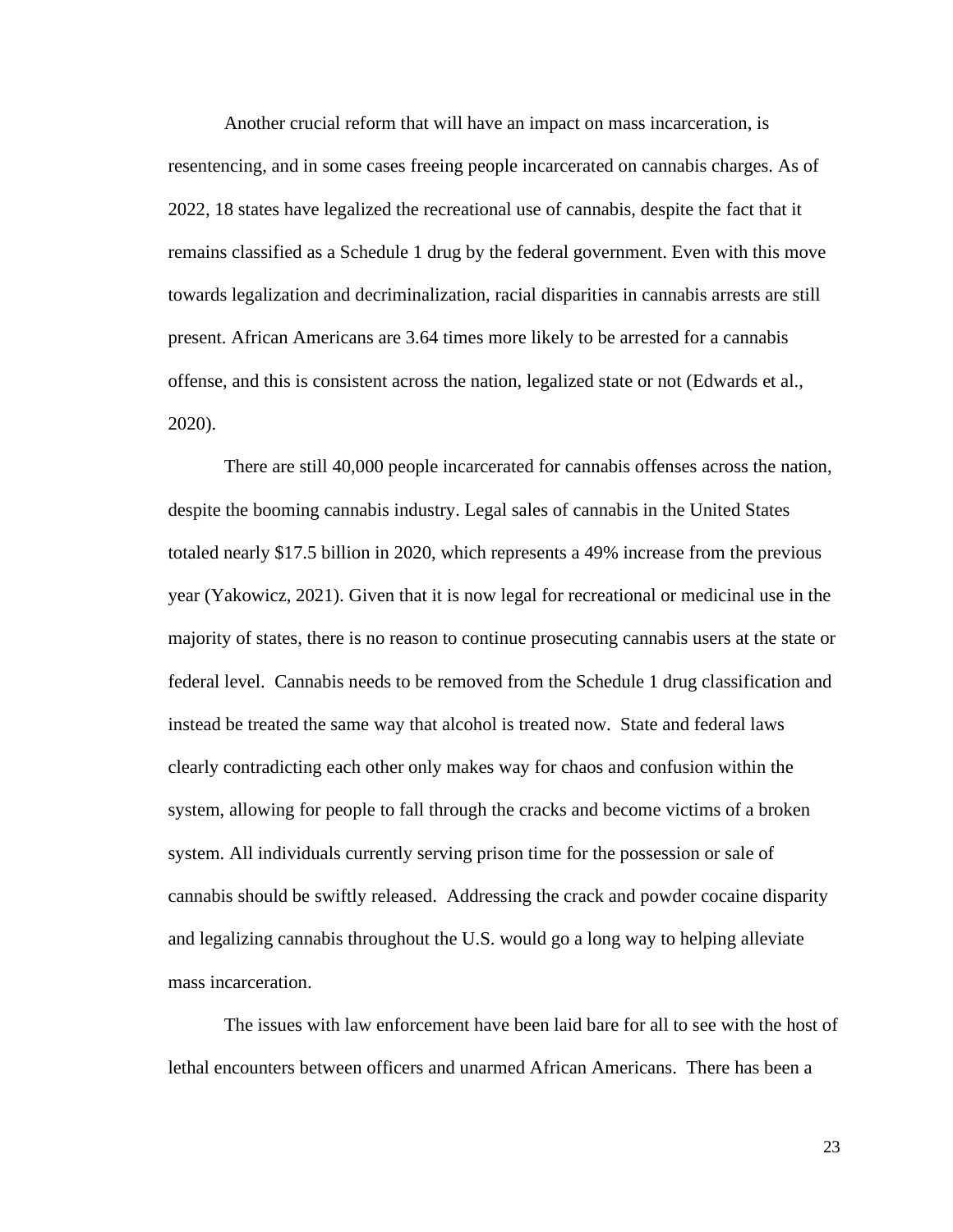Another crucial reform that will have an impact on mass incarceration, is resentencing, and in some cases freeing people incarcerated on cannabis charges. As of 2022, 18 states have legalized the recreational use of cannabis, despite the fact that it remains classified as a Schedule 1 drug by the federal government. Even with this move towards legalization and decriminalization, racial disparities in cannabis arrests are still present. African Americans are 3.64 times more likely to be arrested for a cannabis offense, and this is consistent across the nation, legalized state or not (Edwards et al., 2020).

There are still 40,000 people incarcerated for cannabis offenses across the nation, despite the booming cannabis industry. Legal sales of cannabis in the United States totaled nearly \$17.5 billion in 2020, which represents a 49% increase from the previous year (Yakowicz, 2021). Given that it is now legal for recreational or medicinal use in the majority of states, there is no reason to continue prosecuting cannabis users at the state or federal level. Cannabis needs to be removed from the Schedule 1 drug classification and instead be treated the same way that alcohol is treated now. State and federal laws clearly contradicting each other only makes way for chaos and confusion within the system, allowing for people to fall through the cracks and become victims of a broken system. All individuals currently serving prison time for the possession or sale of cannabis should be swiftly released. Addressing the crack and powder cocaine disparity and legalizing cannabis throughout the U.S. would go a long way to helping alleviate mass incarceration.

The issues with law enforcement have been laid bare for all to see with the host of lethal encounters between officers and unarmed African Americans. There has been a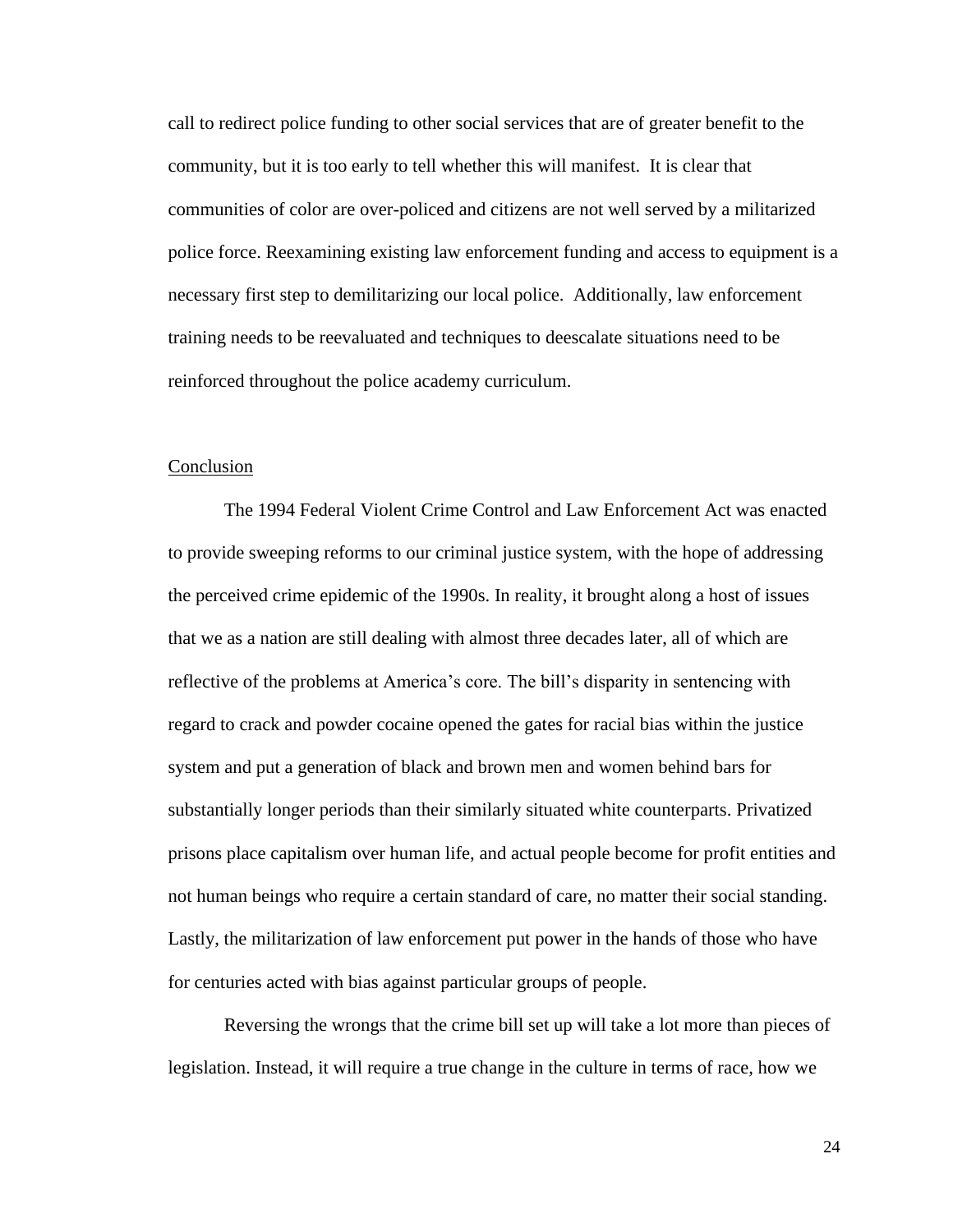call to redirect police funding to other social services that are of greater benefit to the community, but it is too early to tell whether this will manifest. It is clear that communities of color are over-policed and citizens are not well served by a militarized police force. Reexamining existing law enforcement funding and access to equipment is a necessary first step to demilitarizing our local police. Additionally, law enforcement training needs to be reevaluated and techniques to deescalate situations need to be reinforced throughout the police academy curriculum.

# Conclusion

The 1994 Federal Violent Crime Control and Law Enforcement Act was enacted to provide sweeping reforms to our criminal justice system, with the hope of addressing the perceived crime epidemic of the 1990s. In reality, it brought along a host of issues that we as a nation are still dealing with almost three decades later, all of which are reflective of the problems at America's core. The bill's disparity in sentencing with regard to crack and powder cocaine opened the gates for racial bias within the justice system and put a generation of black and brown men and women behind bars for substantially longer periods than their similarly situated white counterparts. Privatized prisons place capitalism over human life, and actual people become for profit entities and not human beings who require a certain standard of care, no matter their social standing. Lastly, the militarization of law enforcement put power in the hands of those who have for centuries acted with bias against particular groups of people.

Reversing the wrongs that the crime bill set up will take a lot more than pieces of legislation. Instead, it will require a true change in the culture in terms of race, how we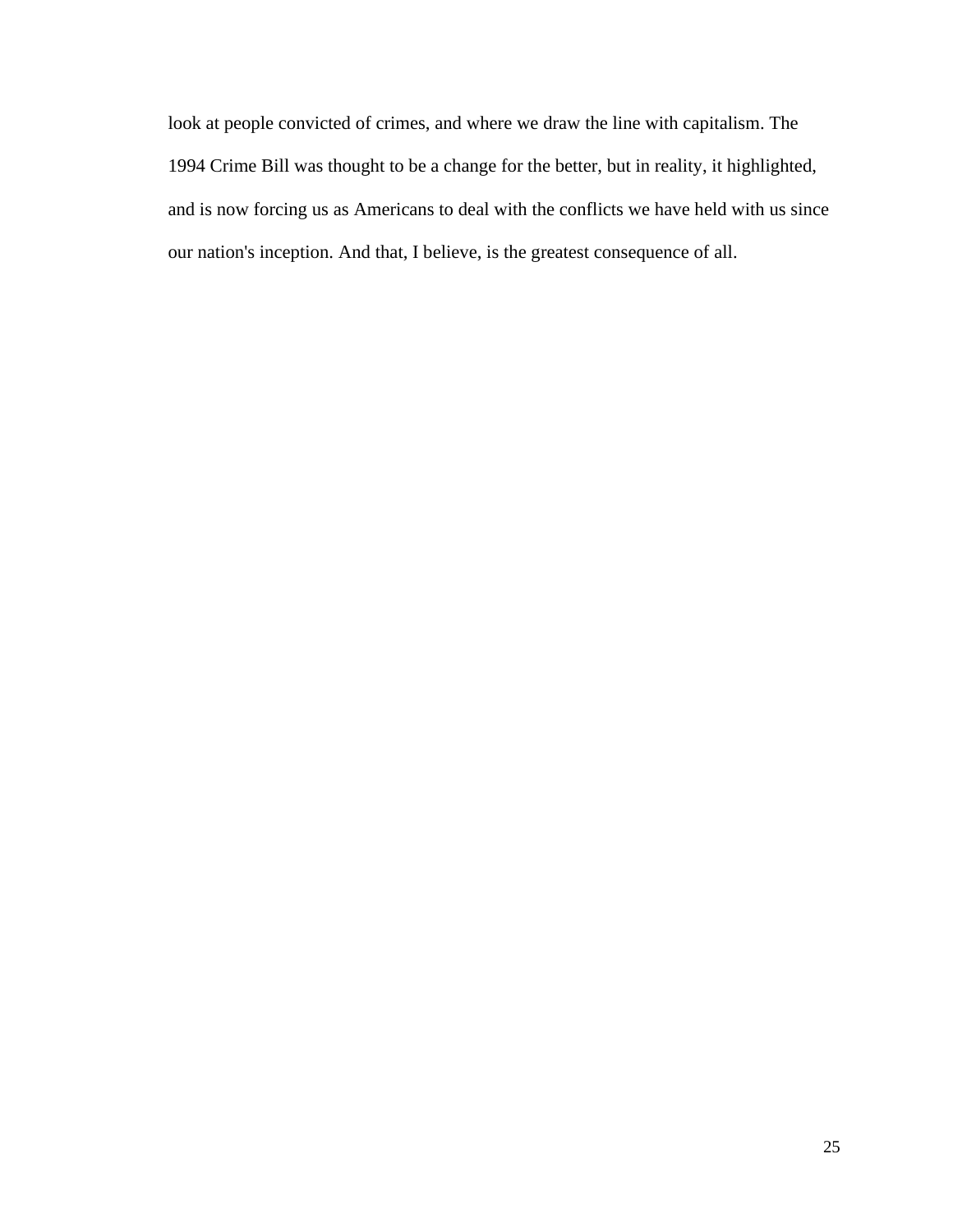look at people convicted of crimes, and where we draw the line with capitalism. The 1994 Crime Bill was thought to be a change for the better, but in reality, it highlighted, and is now forcing us as Americans to deal with the conflicts we have held with us since our nation's inception. And that, I believe, is the greatest consequence of all.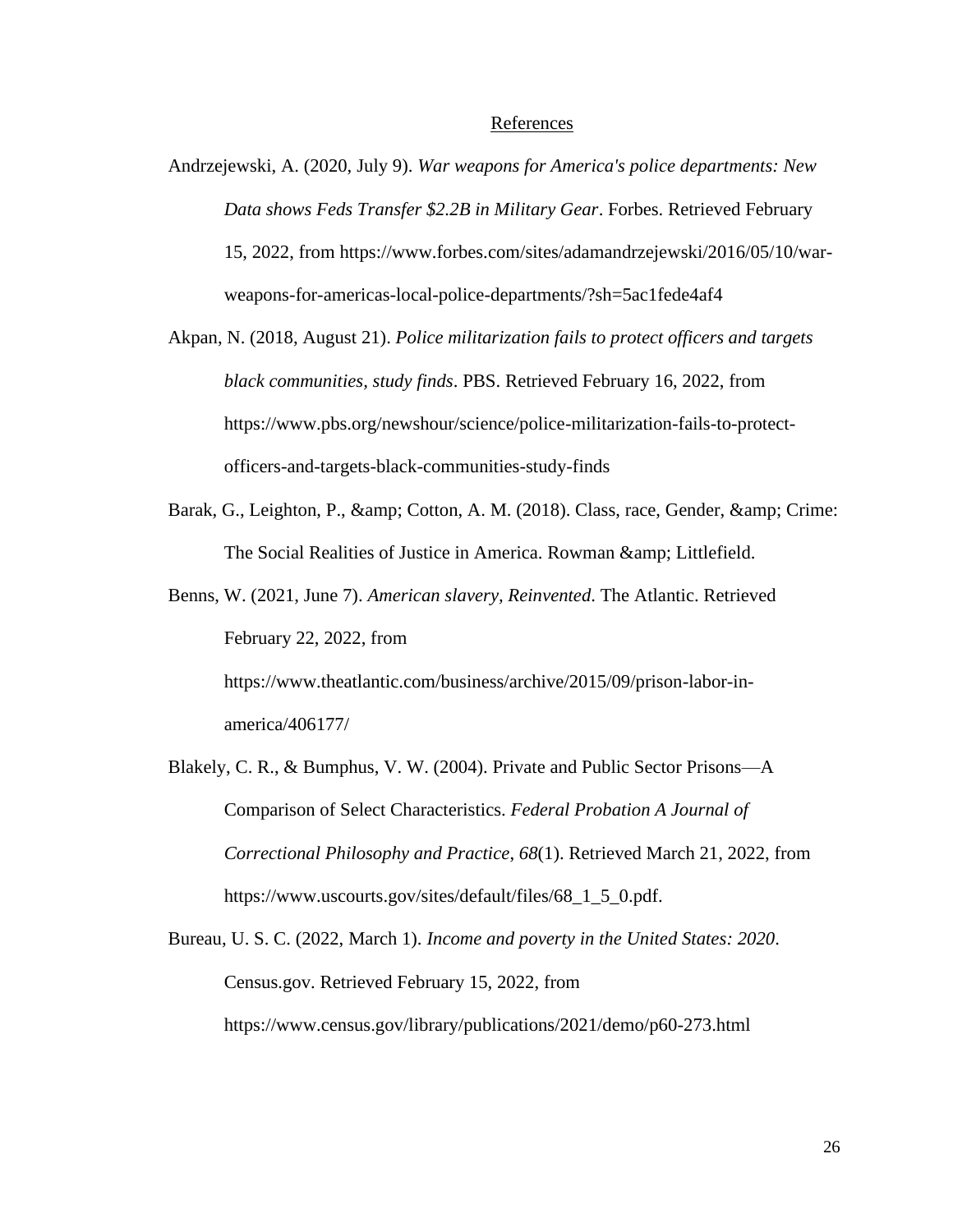#### **References**

- Andrzejewski, A. (2020, July 9). *War weapons for America's police departments: New Data shows Feds Transfer \$2.2B in Military Gear*. Forbes. Retrieved February 15, 2022, from https://www.forbes.com/sites/adamandrzejewski/2016/05/10/warweapons-for-americas-local-police-departments/?sh=5ac1fede4af4
- Akpan, N. (2018, August 21). *Police militarization fails to protect officers and targets black communities, study finds*. PBS. Retrieved February 16, 2022, from https://www.pbs.org/newshour/science/police-militarization-fails-to-protectofficers-and-targets-black-communities-study-finds
- Barak, G., Leighton, P., & amp; Cotton, A. M. (2018). Class, race, Gender, & amp; Crime: The Social Realities of Justice in America. Rowman & amp; Littlefield.

Benns, W. (2021, June 7). *American slavery, Reinvented*. The Atlantic. Retrieved February 22, 2022, from https://www.theatlantic.com/business/archive/2015/09/prison-labor-inamerica/406177/

Blakely, C. R., & Bumphus, V. W. (2004). Private and Public Sector Prisons—A Comparison of Select Characteristics. *Federal Probation A Journal of Correctional Philosophy and Practice*, *68*(1). Retrieved March 21, 2022, from https://www.uscourts.gov/sites/default/files/68\_1\_5\_0.pdf.

Bureau, U. S. C. (2022, March 1). *Income and poverty in the United States: 2020*. Census.gov. Retrieved February 15, 2022, from https://www.census.gov/library/publications/2021/demo/p60-273.html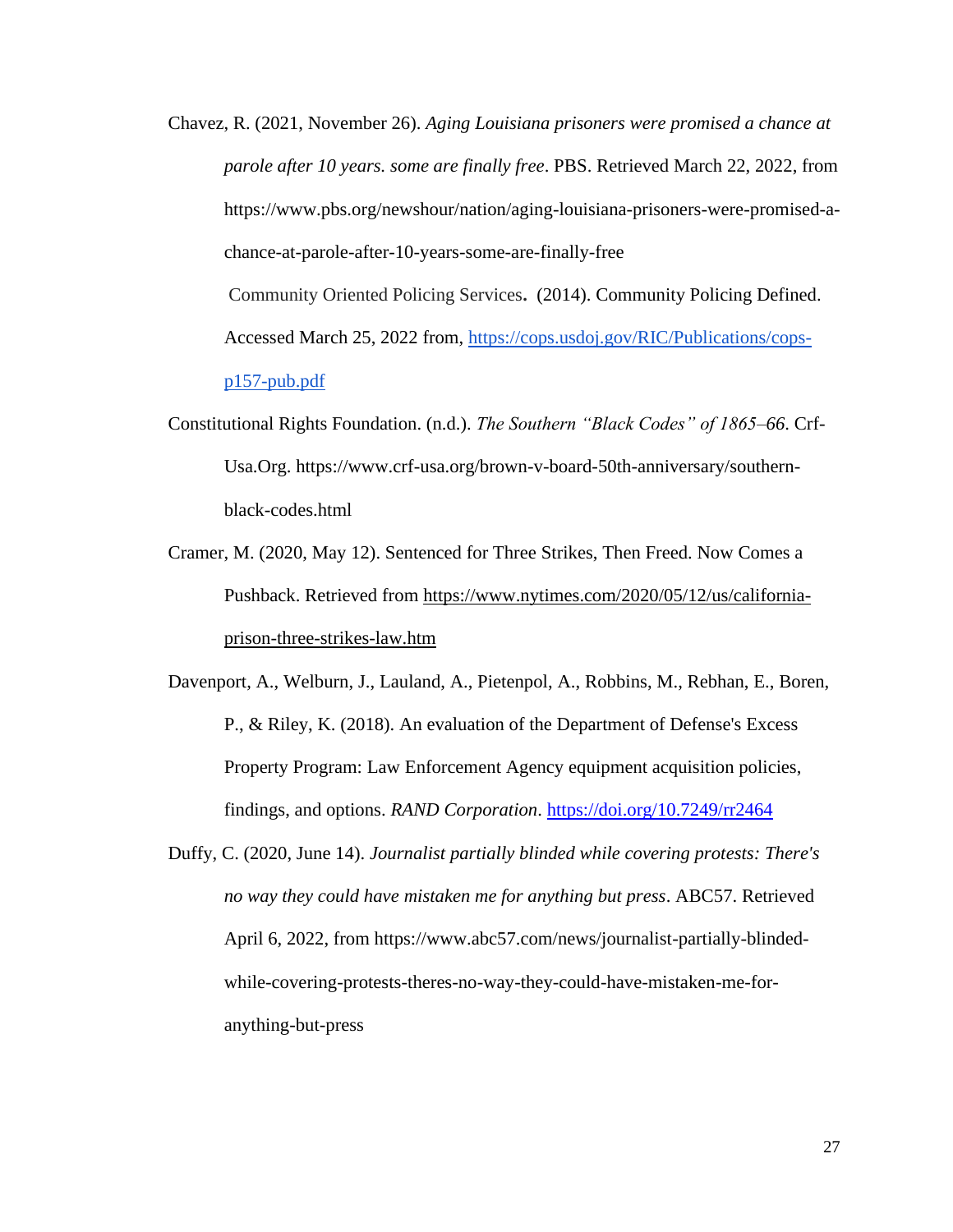- Chavez, R. (2021, November 26). *Aging Louisiana prisoners were promised a chance at parole after 10 years. some are finally free*. PBS. Retrieved March 22, 2022, from https://www.pbs.org/newshour/nation/aging-louisiana-prisoners-were-promised-achance-at-parole-after-10-years-some-are-finally-free Community Oriented Policing Services**.** (2014). Community Policing Defined. Accessed March 25, 2022 from, [https://cops.usdoj.gov/RIC/Publications/cops](https://cops.usdoj.gov/RIC/Publications/cops-p157-pub.pdf)[p157-pub.pdf](https://cops.usdoj.gov/RIC/Publications/cops-p157-pub.pdf)
- Constitutional Rights Foundation. (n.d.). *The Southern "Black Codes" of 1865–66*. Crf-Usa.Org. https://www.crf-usa.org/brown-v-board-50th-anniversary/southernblack-codes.html
- Cramer, M. (2020, May 12). Sentenced for Three Strikes, Then Freed. Now Comes a Pushback. Retrieved from [https://www.nytimes.com/2020/05/12/us/california](https://www.nytimes.com/2020/05/12/us/california-prison-three-strikes-law.html)[prison-three-strikes-law.htm](https://www.nytimes.com/2020/05/12/us/california-prison-three-strikes-law.html)
- Davenport, A., Welburn, J., Lauland, A., Pietenpol, A., Robbins, M., Rebhan, E., Boren, P., & Riley, K. (2018). An evaluation of the Department of Defense's Excess Property Program: Law Enforcement Agency equipment acquisition policies, findings, and options. *RAND Corporation*.<https://doi.org/10.7249/rr2464>
- Duffy, C. (2020, June 14). *Journalist partially blinded while covering protests: There's no way they could have mistaken me for anything but press*. ABC57. Retrieved April 6, 2022, from https://www.abc57.com/news/journalist-partially-blindedwhile-covering-protests-theres-no-way-they-could-have-mistaken-me-foranything-but-press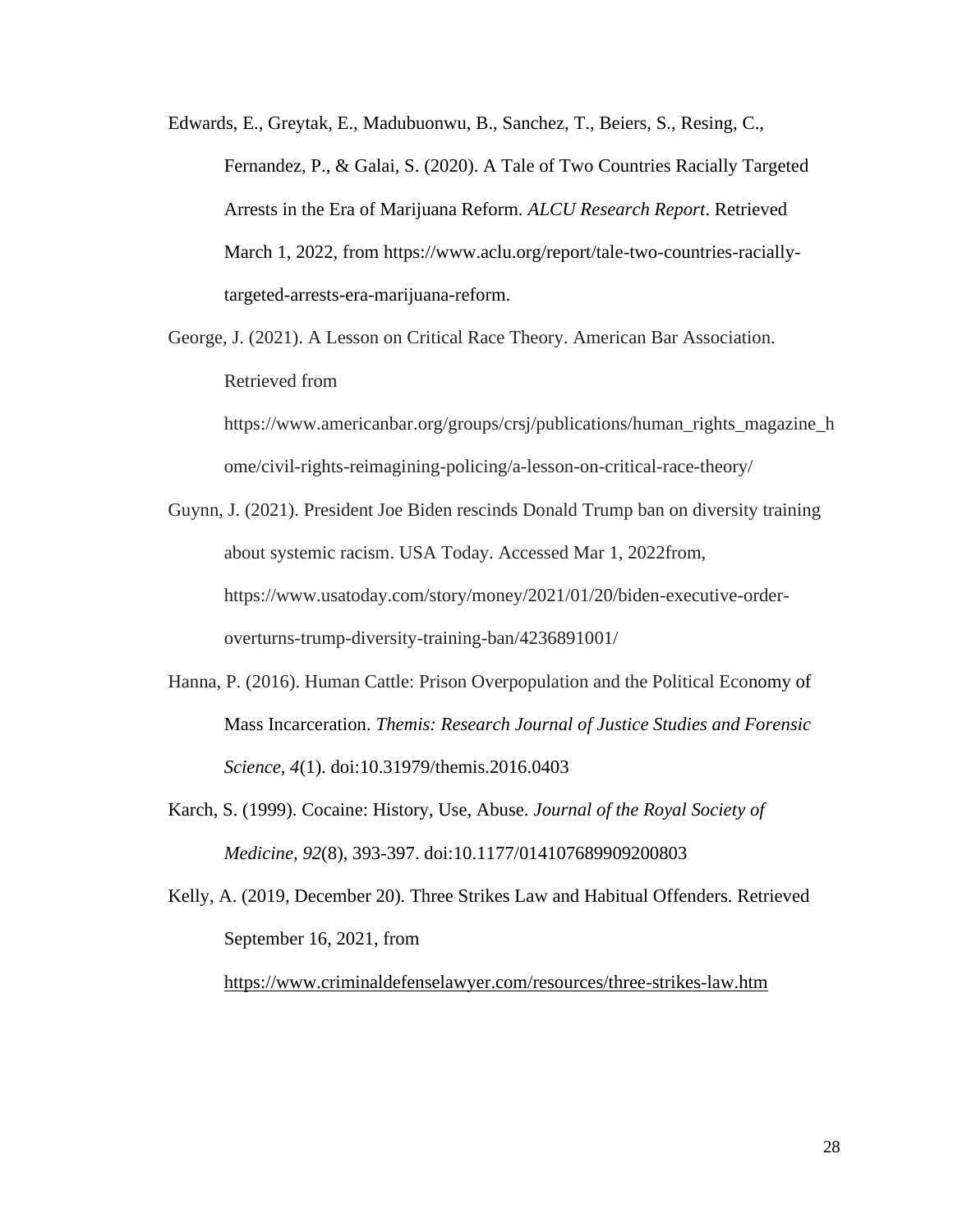- Edwards, E., Greytak, E., Madubuonwu, B., Sanchez, T., Beiers, S., Resing, C., Fernandez, P., & Galai, S. (2020). A Tale of Two Countries Racially Targeted Arrests in the Era of Marijuana Reform. *ALCU Research Report*. Retrieved March 1, 2022, from https://www.aclu.org/report/tale-two-countries-raciallytargeted-arrests-era-marijuana-reform.
- George, J. (2021). A Lesson on Critical Race Theory. American Bar Association. Retrieved from

https://www.americanbar.org/groups/crsj/publications/human\_rights\_magazine\_h ome/civil-rights-reimagining-policing/a-lesson-on-critical-race-theory/

- Guynn, J. (2021). President Joe Biden rescinds Donald Trump ban on diversity training about systemic racism. USA Today. Accessed Mar 1, 2022from, https://www.usatoday.com/story/money/2021/01/20/biden-executive-orderoverturns-trump-diversity-training-ban/4236891001/
- Hanna, P. (2016). Human Cattle: Prison Overpopulation and the Political Economy of Mass Incarceration. *Themis: Research Journal of Justice Studies and Forensic Science, 4*(1). doi:10.31979/themis.2016.0403
- Karch, S. (1999). Cocaine: History, Use, Abuse. *Journal of the Royal Society of Medicine, 92*(8), 393-397. doi:10.1177/014107689909200803

Kelly, A. (2019, December 20). Three Strikes Law and Habitual Offenders. Retrieved September 16, 2021, from

<https://www.criminaldefenselawyer.com/resources/three-strikes-law.htm>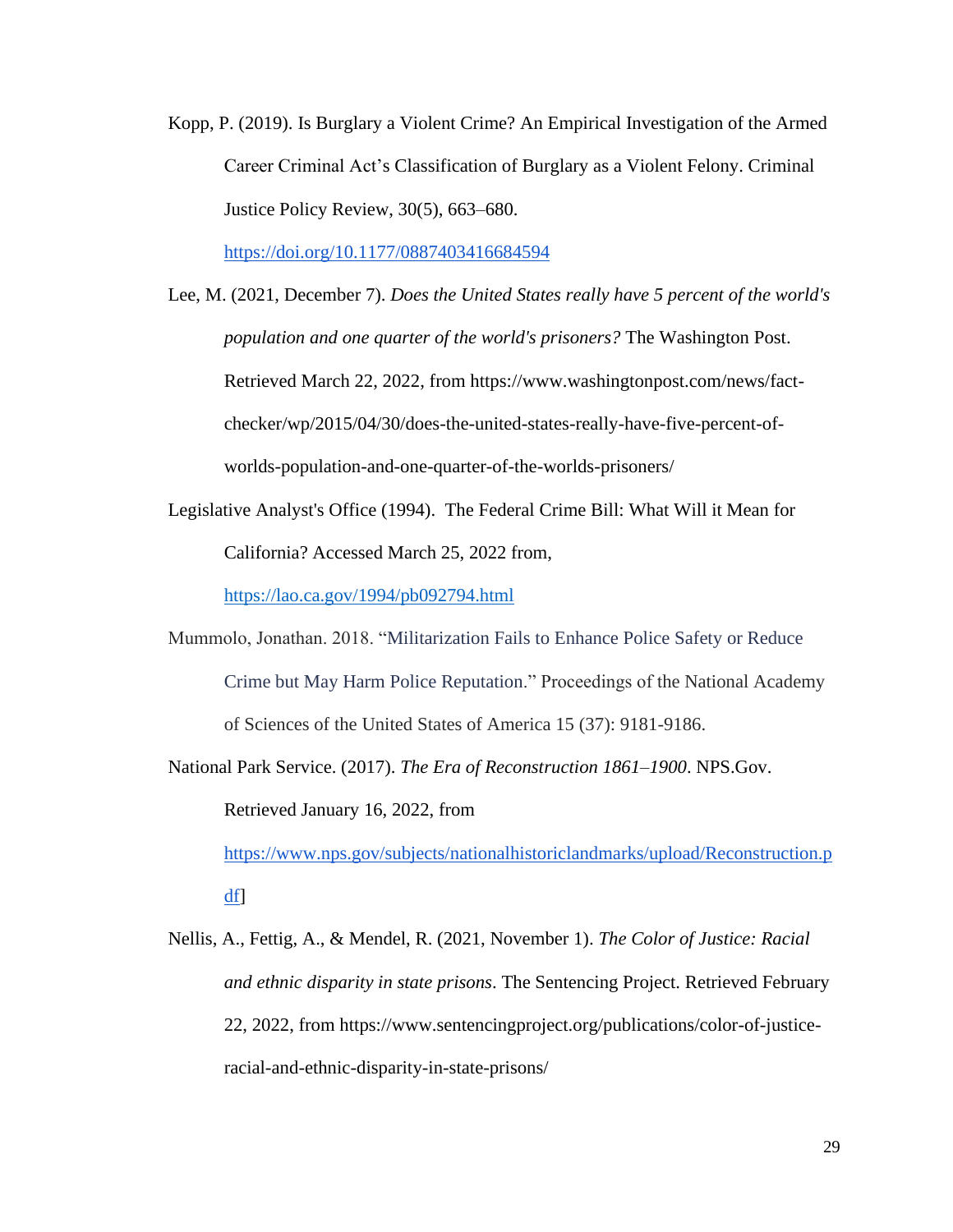Kopp, P. (2019). Is Burglary a Violent Crime? An Empirical Investigation of the Armed Career Criminal Act's Classification of Burglary as a Violent Felony. Criminal Justice Policy Review, 30(5), 663–680.

<https://doi.org/10.1177/0887403416684594>

- Lee, M. (2021, December 7). *Does the United States really have 5 percent of the world's population and one quarter of the world's prisoners?* The Washington Post. Retrieved March 22, 2022, from https://www.washingtonpost.com/news/factchecker/wp/2015/04/30/does-the-united-states-really-have-five-percent-ofworlds-population-and-one-quarter-of-the-worlds-prisoners/
- Legislative Analyst's Office (1994). The Federal Crime Bill: What Will it Mean for California? Accessed March 25, 2022 from,

<https://lao.ca.gov/1994/pb092794.html>

- Mummolo, Jonathan. 2018. ["Militarization Fails to Enhance Police Safety or Reduce](https://scholar.princeton.edu/jmummolo/publications/militarization-fails-enhance-officer-safety-or-reduce-crime-may-harm-police)  [Crime but May Harm Police Reputation.](https://scholar.princeton.edu/jmummolo/publications/militarization-fails-enhance-officer-safety-or-reduce-crime-may-harm-police)" Proceedings of the National Academy of Sciences of the United States of America 15 (37): 9181-9186.
- National Park Service. (2017). *The Era of Reconstruction 1861–1900*. NPS.Gov. Retrieved January 16, 2022, from

[https://www.nps.gov/subjects/nationalhistoriclandmarks/upload/Reconstruction.p](https://www.nps.gov/subjects/nationalhistoriclandmarks/upload/Reconstruction.pdf) [df\]](https://www.nps.gov/subjects/nationalhistoriclandmarks/upload/Reconstruction.pdf)

Nellis, A., Fettig, A., & Mendel, R. (2021, November 1). *The Color of Justice: Racial and ethnic disparity in state prisons*. The Sentencing Project. Retrieved February 22, 2022, from https://www.sentencingproject.org/publications/color-of-justiceracial-and-ethnic-disparity-in-state-prisons/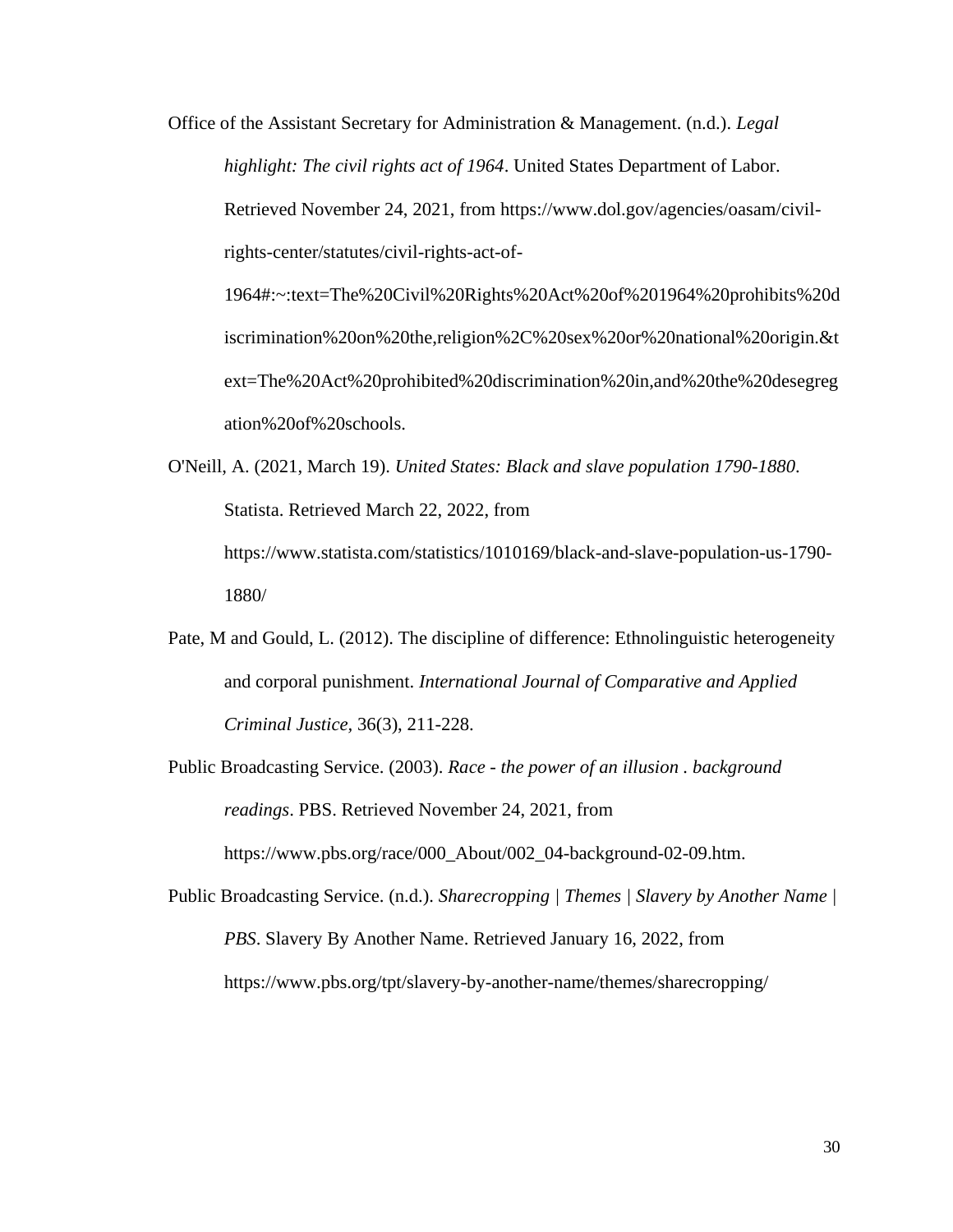Office of the Assistant Secretary for Administration & Management. (n.d.). *Legal highlight: The civil rights act of 1964*. United States Department of Labor. Retrieved November 24, 2021, from https://www.dol.gov/agencies/oasam/civilrights-center/statutes/civil-rights-act-of-1964#:~:text=The%20Civil%20Rights%20Act%20of%201964%20prohibits%20d iscrimination%20on%20the,religion%2C%20sex%20or%20national%20origin.&t

ext=The%20Act%20prohibited%20discrimination%20in,and%20the%20desegreg ation%20of%20schools.

O'Neill, A. (2021, March 19). *United States: Black and slave population 1790-1880*. Statista. Retrieved March 22, 2022, from https://www.statista.com/statistics/1010169/black-and-slave-population-us-1790- 1880/

- Pate, M and Gould, L. (2012). The discipline of difference: Ethnolinguistic heterogeneity and corporal punishment. *International Journal of Comparative and Applied Criminal Justice,* 36(3), 211-228.
- Public Broadcasting Service. (2003). *Race - the power of an illusion . background readings*. PBS. Retrieved November 24, 2021, from

https://www.pbs.org/race/000\_About/002\_04-background-02-09.htm.

Public Broadcasting Service. (n.d.). *Sharecropping | Themes | Slavery by Another Name | PBS*. Slavery By Another Name. Retrieved January 16, 2022, from https://www.pbs.org/tpt/slavery-by-another-name/themes/sharecropping/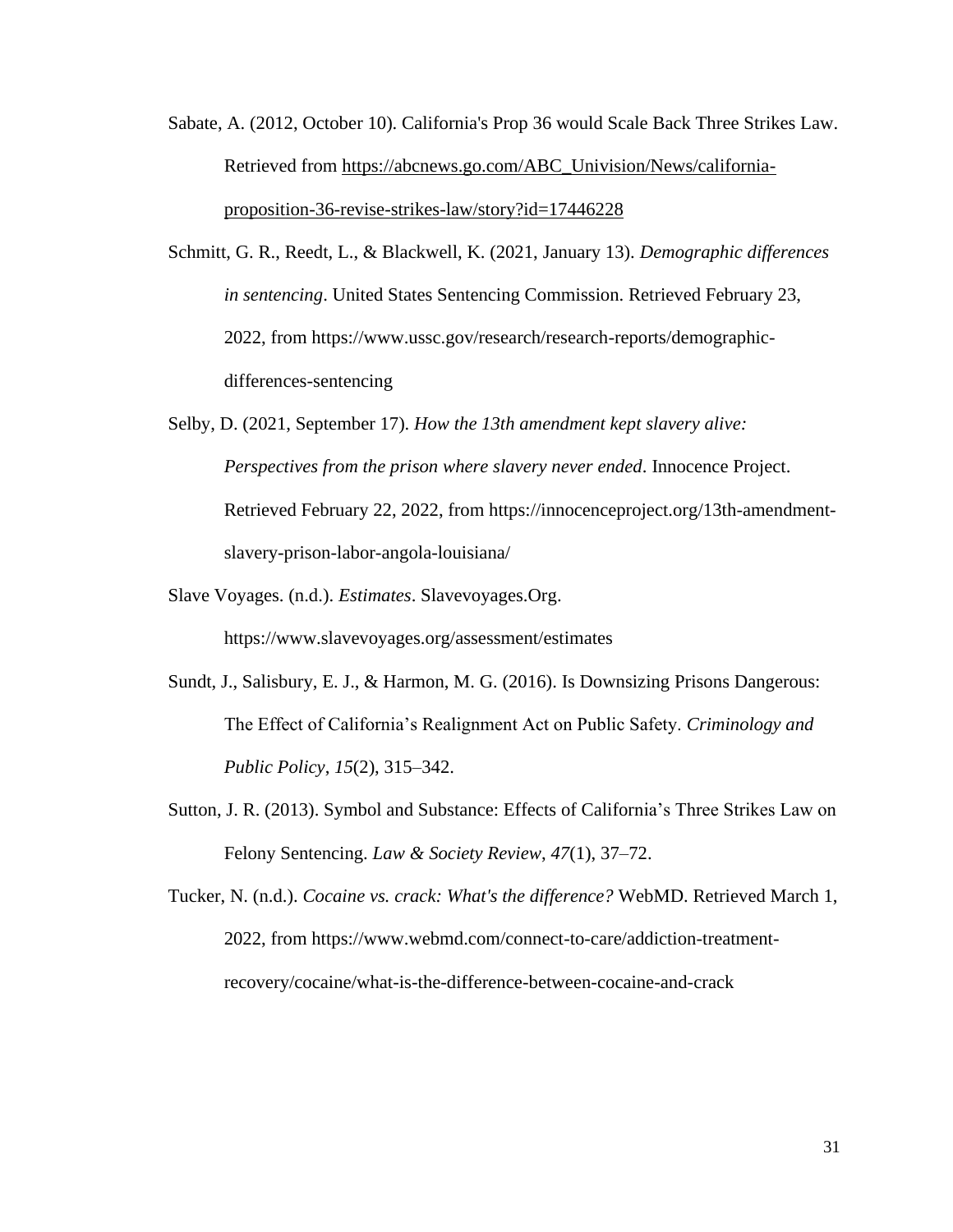- Sabate, A. (2012, October 10). California's Prop 36 would Scale Back Three Strikes Law. Retrieved from [https://abcnews.go.com/ABC\\_Univision/News/california](https://abcnews.go.com/ABC_Univision/News/california-proposition-36-revise-strikes-law/story?id=17446228)[proposition-36-revise-strikes-law/story?id=17446228](https://abcnews.go.com/ABC_Univision/News/california-proposition-36-revise-strikes-law/story?id=17446228)
- Schmitt, G. R., Reedt, L., & Blackwell, K. (2021, January 13). *Demographic differences in sentencing*. United States Sentencing Commission. Retrieved February 23, 2022, from https://www.ussc.gov/research/research-reports/demographicdifferences-sentencing
- Selby, D. (2021, September 17). *How the 13th amendment kept slavery alive: Perspectives from the prison where slavery never ended*. Innocence Project. Retrieved February 22, 2022, from https://innocenceproject.org/13th-amendmentslavery-prison-labor-angola-louisiana/
- Slave Voyages. (n.d.). *Estimates*. Slavevoyages.Org.

https://www.slavevoyages.org/assessment/estimates

- Sundt, J., Salisbury, E. J., & Harmon, M. G. (2016). Is Downsizing Prisons Dangerous: The Effect of California's Realignment Act on Public Safety. *Criminology and Public Policy*, *15*(2), 315–342.
- Sutton, J. R. (2013). Symbol and Substance: Effects of California's Three Strikes Law on Felony Sentencing. *Law & Society Review*, *47*(1), 37–72.

Tucker, N. (n.d.). *Cocaine vs. crack: What's the difference?* WebMD. Retrieved March 1, 2022, from https://www.webmd.com/connect-to-care/addiction-treatmentrecovery/cocaine/what-is-the-difference-between-cocaine-and-crack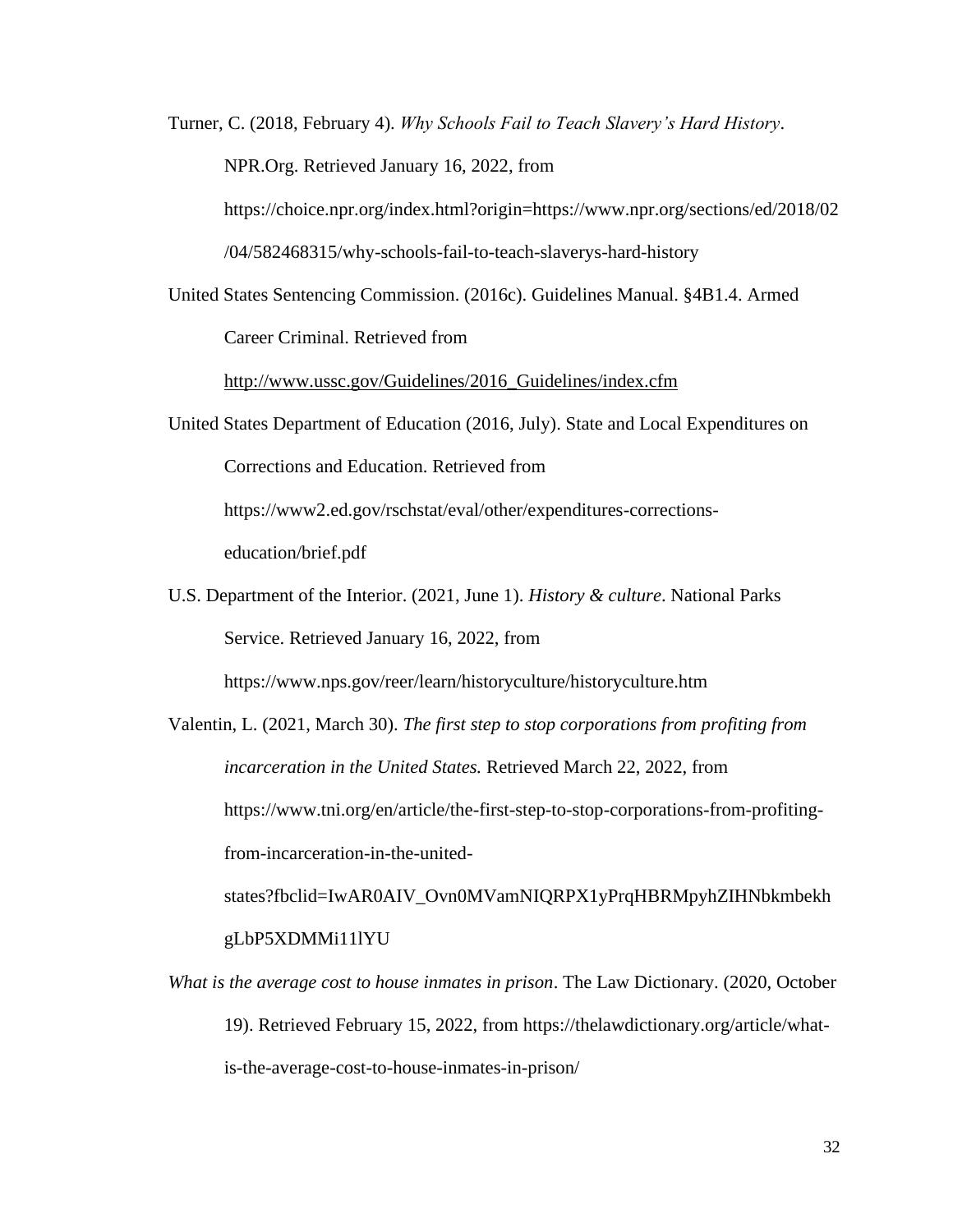Turner, C. (2018, February 4). *Why Schools Fail to Teach Slavery's Hard History*.

NPR.Org. Retrieved January 16, 2022, from

https://choice.npr.org/index.html?origin=https://www.npr.org/sections/ed/2018/02

/04/582468315/why-schools-fail-to-teach-slaverys-hard-history

United States Sentencing Commission. (2016c). Guidelines Manual. §4B1.4. Armed Career Criminal. Retrieved from

[http://www.ussc.gov/Guidelines/2016\\_Guidelines/index.cfm](http://www.ussc.gov/Guidelines/2016_Guidelines/index.cfm)

- United States Department of Education (2016, July). State and Local Expenditures on Corrections and Education. Retrieved from https://www2.ed.gov/rschstat/eval/other/expenditures-correctionseducation/brief.pdf
- U.S. Department of the Interior. (2021, June 1). *History & culture*. National Parks Service. Retrieved January 16, 2022, from

https://www.nps.gov/reer/learn/historyculture/historyculture.htm

Valentin, L. (2021, March 30). *The first step to stop corporations from profiting from incarceration in the United States.* Retrieved March 22, 2022, from https://www.tni.org/en/article/the-first-step-to-stop-corporations-from-profitingfrom-incarceration-in-the-united-

states?fbclid=IwAR0AIV\_Ovn0MVamNIQRPX1yPrqHBRMpyhZIHNbkmbekh gLbP5XDMMi11lYU

*What is the average cost to house inmates in prison*. The Law Dictionary. (2020, October

19). Retrieved February 15, 2022, from https://thelawdictionary.org/article/whatis-the-average-cost-to-house-inmates-in-prison/